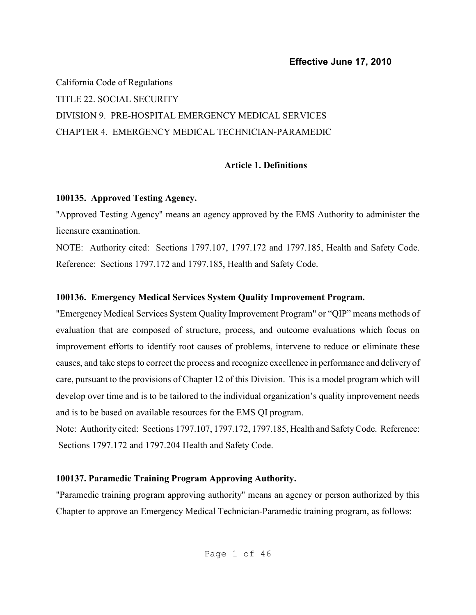California Code of Regulations TITLE 22. SOCIAL SECURITY DIVISION 9. PRE-HOSPITAL EMERGENCY MEDICAL SERVICES CHAPTER 4. EMERGENCY MEDICAL TECHNICIAN-PARAMEDIC

### **Article 1. Definitions**

### **100135. Approved Testing Agency.**

"Approved Testing Agency" means an agency approved by the EMS Authority to administer the licensure examination.

NOTE: Authority cited: Sections 1797.107, 1797.172 and 1797.185, Health and Safety Code. Reference: Sections 1797.172 and 1797.185, Health and Safety Code.

### **100136. Emergency Medical Services System Quality Improvement Program.**

"Emergency Medical Services System Quality Improvement Program" or "QIP" means methods of evaluation that are composed of structure, process, and outcome evaluations which focus on improvement efforts to identify root causes of problems, intervene to reduce or eliminate these causes, and take steps to correct the process and recognize excellence in performance and delivery of care, pursuant to the provisions of Chapter 12 of this Division. This is a model program which will develop over time and is to be tailored to the individual organization's quality improvement needs and is to be based on available resources for the EMS QI program.

Note: Authority cited: Sections 1797.107, 1797.172, 1797.185, Health and Safety Code. Reference: Sections 1797.172 and 1797.204 Health and Safety Code.

## **100137. Paramedic Training Program Approving Authority.**

"Paramedic training program approving authority" means an agency or person authorized by this Chapter to approve an Emergency Medical Technician-Paramedic training program, as follows: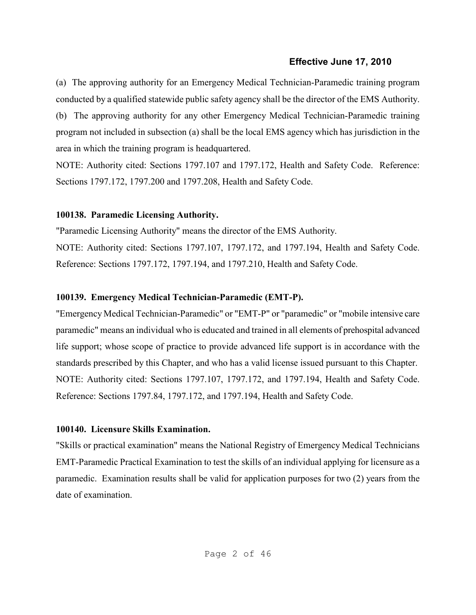(a) The approving authority for an Emergency Medical Technician-Paramedic training program conducted by a qualified statewide public safety agency shall be the director of the EMS Authority.

(b) The approving authority for any other Emergency Medical Technician-Paramedic training program not included in subsection (a) shall be the local EMS agency which has jurisdiction in the area in which the training program is headquartered.

NOTE: Authority cited: Sections 1797.107 and 1797.172, Health and Safety Code. Reference: Sections 1797.172, 1797.200 and 1797.208, Health and Safety Code.

## **100138. Paramedic Licensing Authority.**

"Paramedic Licensing Authority" means the director of the EMS Authority. NOTE: Authority cited: Sections 1797.107, 1797.172, and 1797.194, Health and Safety Code. Reference: Sections 1797.172, 1797.194, and 1797.210, Health and Safety Code.

# **100139. Emergency Medical Technician-Paramedic (EMT-P).**

"Emergency Medical Technician-Paramedic" or "EMT-P" or "paramedic" or "mobile intensive care paramedic" means an individual who is educated and trained in all elements of prehospital advanced life support; whose scope of practice to provide advanced life support is in accordance with the standards prescribed by this Chapter, and who has a valid license issued pursuant to this Chapter. NOTE: Authority cited: Sections 1797.107, 1797.172, and 1797.194, Health and Safety Code. Reference: Sections 1797.84, 1797.172, and 1797.194, Health and Safety Code.

## **100140. Licensure Skills Examination.**

"Skills or practical examination" means the National Registry of Emergency Medical Technicians EMT-Paramedic Practical Examination to test the skills of an individual applying for licensure as a paramedic. Examination results shall be valid for application purposes for two (2) years from the date of examination.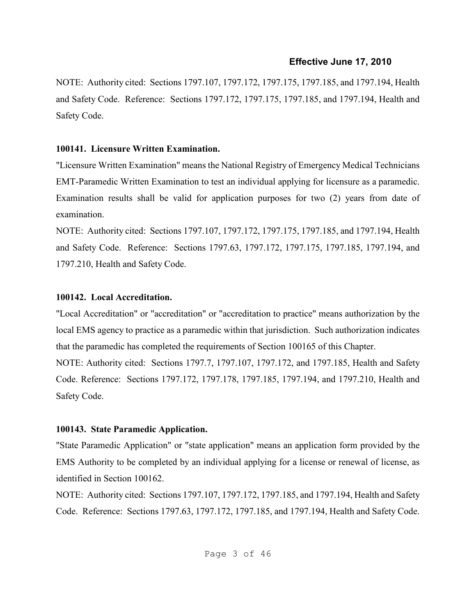NOTE: Authority cited: Sections 1797.107, 1797.172, 1797.175, 1797.185, and 1797.194, Health and Safety Code. Reference: Sections 1797.172, 1797.175, 1797.185, and 1797.194, Health and Safety Code.

## **100141. Licensure Written Examination.**

"Licensure Written Examination" means the National Registry of Emergency Medical Technicians EMT-Paramedic Written Examination to test an individual applying for licensure as a paramedic. Examination results shall be valid for application purposes for two (2) years from date of examination.

NOTE: Authority cited: Sections 1797.107, 1797.172, 1797.175, 1797.185, and 1797.194, Health and Safety Code. Reference: Sections 1797.63, 1797.172, 1797.175, 1797.185, 1797.194, and 1797.210, Health and Safety Code.

## **100142. Local Accreditation.**

"Local Accreditation" or "accreditation" or "accreditation to practice" means authorization by the local EMS agency to practice as a paramedic within that jurisdiction. Such authorization indicates that the paramedic has completed the requirements of Section 100165 of this Chapter.

NOTE: Authority cited: Sections 1797.7, 1797.107, 1797.172, and 1797.185, Health and Safety Code. Reference: Sections 1797.172, 1797.178, 1797.185, 1797.194, and 1797.210, Health and Safety Code.

# **100143. State Paramedic Application.**

"State Paramedic Application" or "state application" means an application form provided by the EMS Authority to be completed by an individual applying for a license or renewal of license, as identified in Section 100162.

NOTE: Authority cited: Sections 1797.107, 1797.172, 1797.185, and 1797.194, Health and Safety Code. Reference: Sections 1797.63, 1797.172, 1797.185, and 1797.194, Health and Safety Code.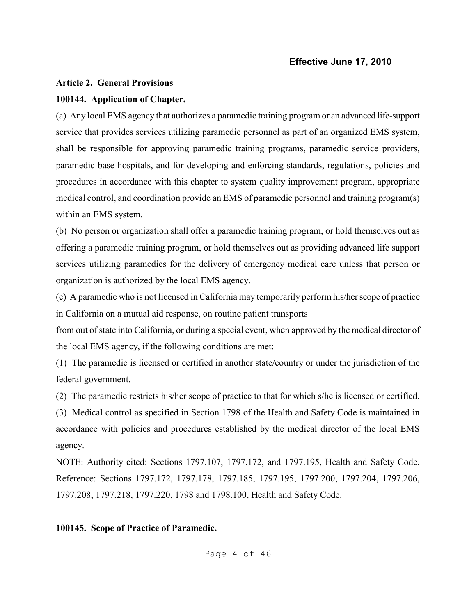#### **Article 2. General Provisions**

#### **100144. Application of Chapter.**

(a) Any local EMS agency that authorizes a paramedic training program or an advanced life-support service that provides services utilizing paramedic personnel as part of an organized EMS system, shall be responsible for approving paramedic training programs, paramedic service providers, paramedic base hospitals, and for developing and enforcing standards, regulations, policies and procedures in accordance with this chapter to system quality improvement program, appropriate medical control, and coordination provide an EMS of paramedic personnel and training program(s) within an EMS system.

(b) No person or organization shall offer a paramedic training program, or hold themselves out as offering a paramedic training program, or hold themselves out as providing advanced life support services utilizing paramedics for the delivery of emergency medical care unless that person or organization is authorized by the local EMS agency.

(c) A paramedic who is not licensed in California may temporarily perform his/her scope of practice in California on a mutual aid response, on routine patient transports

from out of state into California, or during a special event, when approved by the medical director of the local EMS agency, if the following conditions are met:

(1) The paramedic is licensed or certified in another state/country or under the jurisdiction of the federal government.

(2) The paramedic restricts his/her scope of practice to that for which s/he is licensed or certified.

(3) Medical control as specified in Section 1798 of the Health and Safety Code is maintained in accordance with policies and procedures established by the medical director of the local EMS agency.

NOTE: Authority cited: Sections 1797.107, 1797.172, and 1797.195, Health and Safety Code. Reference: Sections 1797.172, 1797.178, 1797.185, 1797.195, 1797.200, 1797.204, 1797.206, 1797.208, 1797.218, 1797.220, 1798 and 1798.100, Health and Safety Code.

#### **100145. Scope of Practice of Paramedic.**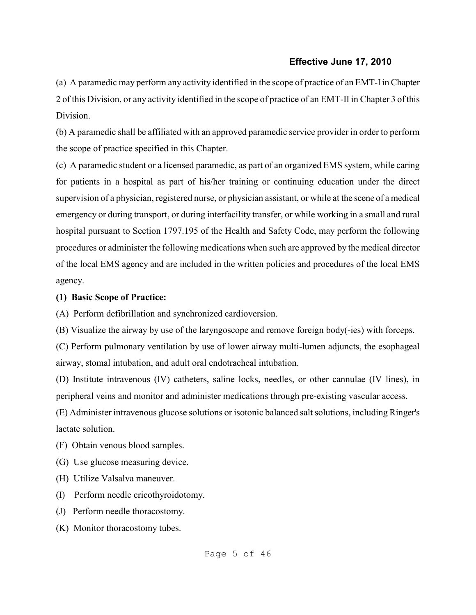(a) A paramedic may perform any activity identified in the scope of practice of an EMT-I in Chapter 2 of this Division, or any activity identified in the scope of practice of an EMT-II in Chapter 3 of this Division.

(b) A paramedic shall be affiliated with an approved paramedic service provider in order to perform the scope of practice specified in this Chapter.

(c) A paramedic student or a licensed paramedic, as part of an organized EMS system, while caring for patients in a hospital as part of his/her training or continuing education under the direct supervision of a physician, registered nurse, or physician assistant, or while at the scene of a medical emergency or during transport, or during interfacility transfer, or while working in a small and rural hospital pursuant to Section 1797.195 of the Health and Safety Code, may perform the following procedures or administer the following medications when such are approved by the medical director of the local EMS agency and are included in the written policies and procedures of the local EMS agency.

#### **(1) Basic Scope of Practice:**

(A) Perform defibrillation and synchronized cardioversion.

(B) Visualize the airway by use of the laryngoscope and remove foreign body(-ies) with forceps.

(C) Perform pulmonary ventilation by use of lower airway multi-lumen adjuncts, the esophageal airway, stomal intubation, and adult oral endotracheal intubation.

(D) Institute intravenous (IV) catheters, saline locks, needles, or other cannulae (IV lines), in peripheral veins and monitor and administer medications through pre-existing vascular access.

(E) Administer intravenous glucose solutions or isotonic balanced salt solutions, including Ringer's lactate solution.

(F) Obtain venous blood samples.

(G) Use glucose measuring device.

- (H) Utilize Valsalva maneuver.
- (I) Perform needle cricothyroidotomy.
- (J) Perform needle thoracostomy.
- (K) Monitor thoracostomy tubes.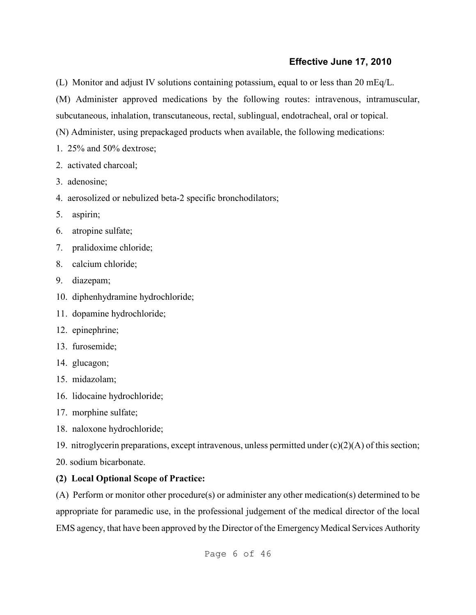(L) Monitor and adjust IV solutions containing potassium, equal to or less than 20 mEq/L.

(M) Administer approved medications by the following routes: intravenous, intramuscular,

subcutaneous, inhalation, transcutaneous, rectal, sublingual, endotracheal, oral or topical.

(N) Administer, using prepackaged products when available, the following medications:

- 1. 25% and 50% dextrose;
- 2. activated charcoal;
- 3. adenosine;
- 4. aerosolized or nebulized beta-2 specific bronchodilators;
- 5. aspirin;
- 6. atropine sulfate;
- 7. pralidoxime chloride;
- 8. calcium chloride;
- 9. diazepam;
- 10. diphenhydramine hydrochloride;
- 11. dopamine hydrochloride;
- 12. epinephrine;
- 13. furosemide;
- 14. glucagon;
- 15. midazolam;
- 16. lidocaine hydrochloride;
- 17. morphine sulfate;
- 18. naloxone hydrochloride;

19. nitroglycerin preparations, except intravenous, unless permitted under (c)(2)(A) of this section;

20. sodium bicarbonate.

# **(2) Local Optional Scope of Practice:**

(A) Perform or monitor other procedure(s) or administer any other medication(s) determined to be appropriate for paramedic use, in the professional judgement of the medical director of the local EMS agency, that have been approved by the Director of the Emergency Medical Services Authority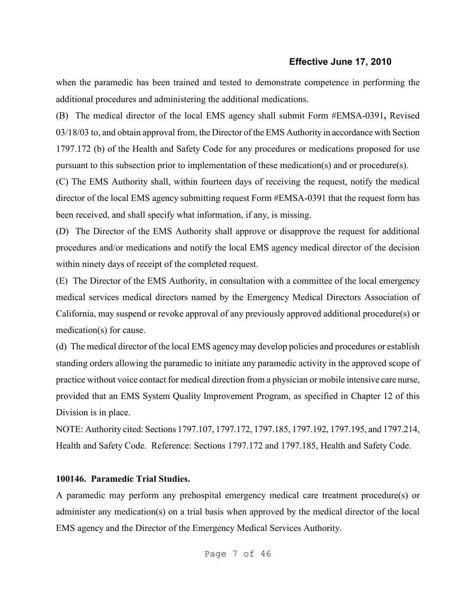when the paramedic has been trained and tested to demonstrate competence in performing the additional procedures and administering the additional medications.

(B) The medical director of the local EMS agency shall submit Form #EMSA-0391**,** Revised 03/18/03 to, and obtain approval from, the Director of the EMS Authority in accordance with Section 1797.172 (b) of the Health and Safety Code for any procedures or medications proposed for use pursuant to this subsection prior to implementation of these medication(s) and or procedure(s).

(C) The EMS Authority shall, within fourteen days of receiving the request, notify the medical director of the local EMS agency submitting request Form #EMSA-0391 that the request form has been received, and shall specify what information, if any, is missing.

(D) The Director of the EMS Authority shall approve or disapprove the request for additional procedures and/or medications and notify the local EMS agency medical director of the decision within ninety days of receipt of the completed request.

(E) The Director of the EMS Authority, in consultation with a committee of the local emergency medical services medical directors named by the Emergency Medical Directors Association of California, may suspend or revoke approval of any previously approved additional procedure(s) or medication(s) for cause.

(d) The medical director of the local EMS agency may develop policies and procedures or establish standing orders allowing the paramedic to initiate any paramedic activity in the approved scope of practice without voice contact for medical direction from a physician or mobile intensive care nurse, provided that an EMS System Quality Improvement Program, as specified in Chapter 12 of this Division is in place.

NOTE: Authority cited: Sections 1797.107, 1797.172, 1797.185, 1797.192, 1797.195, and 1797.214, Health and Safety Code. Reference: Sections 1797.172 and 1797.185, Health and Safety Code.

#### **100146. Paramedic Trial Studies.**

A paramedic may perform any prehospital emergency medical care treatment procedure(s) or administer any medication(s) on a trial basis when approved by the medical director of the local EMS agency and the Director of the Emergency Medical Services Authority.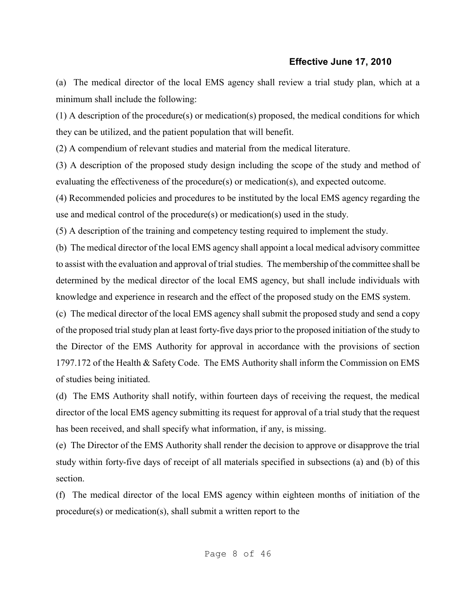(a) The medical director of the local EMS agency shall review a trial study plan, which at a minimum shall include the following:

(1) A description of the procedure(s) or medication(s) proposed, the medical conditions for which they can be utilized, and the patient population that will benefit.

(2) A compendium of relevant studies and material from the medical literature.

(3) A description of the proposed study design including the scope of the study and method of evaluating the effectiveness of the procedure(s) or medication(s), and expected outcome.

(4) Recommended policies and procedures to be instituted by the local EMS agency regarding the use and medical control of the procedure(s) or medication(s) used in the study.

(5) A description of the training and competency testing required to implement the study.

(b) The medical director of the local EMS agency shall appoint a local medical advisory committee to assist with the evaluation and approval of trial studies. The membership of the committee shall be determined by the medical director of the local EMS agency, but shall include individuals with knowledge and experience in research and the effect of the proposed study on the EMS system.

(c) The medical director of the local EMS agency shall submit the proposed study and send a copy of the proposed trial study plan at least forty-five days prior to the proposed initiation of the study to the Director of the EMS Authority for approval in accordance with the provisions of section 1797.172 of the Health & Safety Code. The EMS Authority shall inform the Commission on EMS of studies being initiated.

(d) The EMS Authority shall notify, within fourteen days of receiving the request, the medical director of the local EMS agency submitting its request for approval of a trial study that the request has been received, and shall specify what information, if any, is missing.

(e) The Director of the EMS Authority shall render the decision to approve or disapprove the trial study within forty-five days of receipt of all materials specified in subsections (a) and (b) of this section.

(f) The medical director of the local EMS agency within eighteen months of initiation of the procedure(s) or medication(s), shall submit a written report to the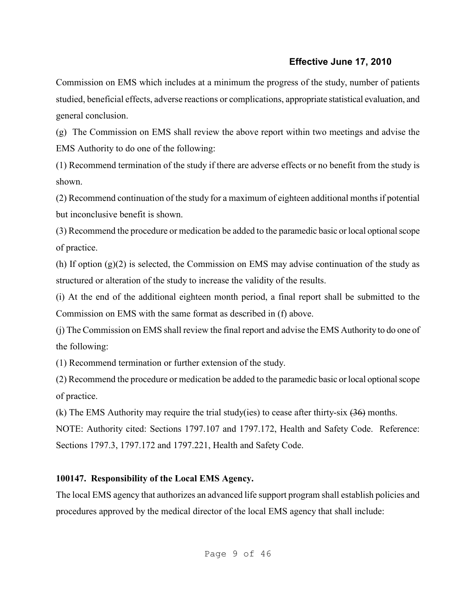Commission on EMS which includes at a minimum the progress of the study, number of patients studied, beneficial effects, adverse reactions or complications, appropriate statistical evaluation, and general conclusion.

(g) The Commission on EMS shall review the above report within two meetings and advise the EMS Authority to do one of the following:

(1) Recommend termination of the study if there are adverse effects or no benefit from the study is shown.

(2) Recommend continuation of the study for a maximum of eighteen additional months if potential but inconclusive benefit is shown.

(3) Recommend the procedure or medication be added to the paramedic basic or local optional scope of practice.

(h) If option (g)(2) is selected, the Commission on EMS may advise continuation of the study as structured or alteration of the study to increase the validity of the results.

(i) At the end of the additional eighteen month period, a final report shall be submitted to the Commission on EMS with the same format as described in (f) above.

(j) The Commission on EMS shall review the final report and advise the EMS Authority to do one of the following:

(1) Recommend termination or further extension of the study.

(2) Recommend the procedure or medication be added to the paramedic basic or local optional scope of practice.

(k) The EMS Authority may require the trial study(ies) to cease after thirty-six  $(36)$  months.

NOTE: Authority cited: Sections 1797.107 and 1797.172, Health and Safety Code. Reference: Sections 1797.3, 1797.172 and 1797.221, Health and Safety Code.

# **100147. Responsibility of the Local EMS Agency.**

The local EMS agency that authorizes an advanced life support program shall establish policies and procedures approved by the medical director of the local EMS agency that shall include: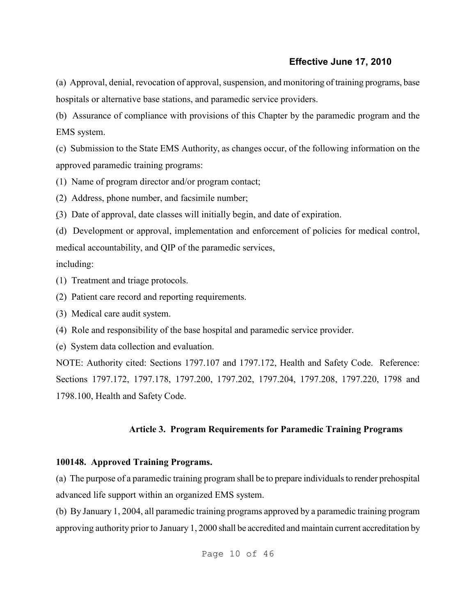(a) Approval, denial, revocation of approval, suspension, and monitoring of training programs, base hospitals or alternative base stations, and paramedic service providers.

(b) Assurance of compliance with provisions of this Chapter by the paramedic program and the EMS system.

(c) Submission to the State EMS Authority, as changes occur, of the following information on the approved paramedic training programs:

(1) Name of program director and/or program contact;

(2) Address, phone number, and facsimile number;

(3) Date of approval, date classes will initially begin, and date of expiration.

(d) Development or approval, implementation and enforcement of policies for medical control, medical accountability, and QIP of the paramedic services,

including:

- (1) Treatment and triage protocols.
- (2) Patient care record and reporting requirements.
- (3) Medical care audit system.

(4) Role and responsibility of the base hospital and paramedic service provider.

(e) System data collection and evaluation.

NOTE: Authority cited: Sections 1797.107 and 1797.172, Health and Safety Code. Reference: Sections 1797.172, 1797.178, 1797.200, 1797.202, 1797.204, 1797.208, 1797.220, 1798 and 1798.100, Health and Safety Code.

## **Article 3. Program Requirements for Paramedic Training Programs**

## **100148. Approved Training Programs.**

(a) The purpose of a paramedic training program shall be to prepare individuals to render prehospital advanced life support within an organized EMS system.

(b) By January 1, 2004, all paramedic training programs approved by a paramedic training program approving authority prior to January 1, 2000 shall be accredited and maintain current accreditation by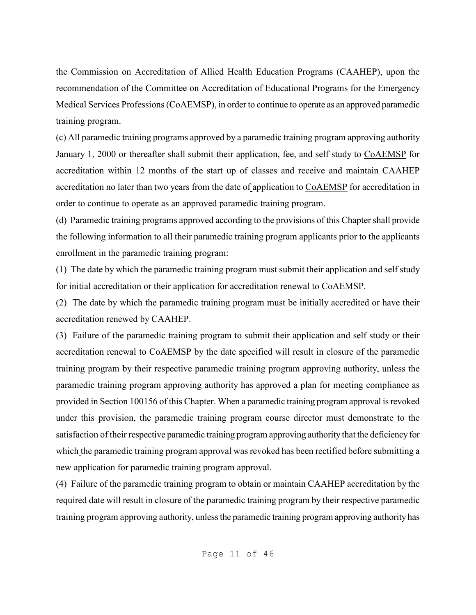the Commission on Accreditation of Allied Health Education Programs (CAAHEP), upon the recommendation of the Committee on Accreditation of Educational Programs for the Emergency Medical Services Professions (CoAEMSP), in order to continue to operate as an approved paramedic training program.

(c) All paramedic training programs approved by a paramedic training program approving authority January 1, 2000 or thereafter shall submit their application, fee, and self study to CoAEMSP for accreditation within 12 months of the start up of classes and receive and maintain CAAHEP accreditation no later than two years from the date of application to CoAEMSP for accreditation in order to continue to operate as an approved paramedic training program.

(d) Paramedic training programs approved according to the provisions of this Chapter shall provide the following information to all their paramedic training program applicants prior to the applicants enrollment in the paramedic training program:

(1) The date by which the paramedic training program must submit their application and self study for initial accreditation or their application for accreditation renewal to CoAEMSP.

(2) The date by which the paramedic training program must be initially accredited or have their accreditation renewed by CAAHEP.

(3) Failure of the paramedic training program to submit their application and self study or their accreditation renewal to CoAEMSP by the date specified will result in closure of the paramedic training program by their respective paramedic training program approving authority, unless the paramedic training program approving authority has approved a plan for meeting compliance as provided in Section 100156 of this Chapter. When a paramedic training program approval is revoked under this provision, the paramedic training program course director must demonstrate to the satisfaction of their respective paramedic training program approving authority that the deficiency for which the paramedic training program approval was revoked has been rectified before submitting a new application for paramedic training program approval.

(4) Failure of the paramedic training program to obtain or maintain CAAHEP accreditation by the required date will result in closure of the paramedic training program by their respective paramedic training program approving authority, unless the paramedic training program approving authority has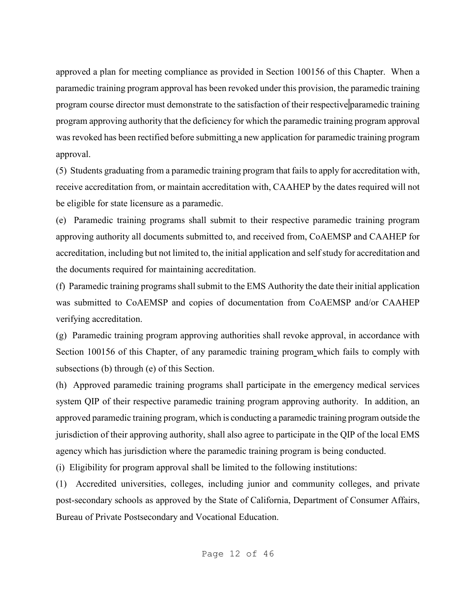approved a plan for meeting compliance as provided in Section 100156 of this Chapter. When a paramedic training program approval has been revoked under this provision, the paramedic training program course director must demonstrate to the satisfaction of their respective paramedic training program approving authority that the deficiency for which the paramedic training program approval was revoked has been rectified before submitting a new application for paramedic training program approval.

(5) Students graduating from a paramedic training program that fails to apply for accreditation with, receive accreditation from, or maintain accreditation with, CAAHEP by the dates required will not be eligible for state licensure as a paramedic.

(e) Paramedic training programs shall submit to their respective paramedic training program approving authority all documents submitted to, and received from, CoAEMSP and CAAHEP for accreditation, including but not limited to, the initial application and self study for accreditation and the documents required for maintaining accreditation.

(f) Paramedic training programs shall submit to the EMS Authority the date their initial application was submitted to CoAEMSP and copies of documentation from CoAEMSP and/or CAAHEP verifying accreditation.

(g) Paramedic training program approving authorities shall revoke approval, in accordance with Section 100156 of this Chapter, of any paramedic training program which fails to comply with subsections (b) through (e) of this Section.

(h) Approved paramedic training programs shall participate in the emergency medical services system QIP of their respective paramedic training program approving authority. In addition, an approved paramedic training program, which is conducting a paramedic training program outside the jurisdiction of their approving authority, shall also agree to participate in the QIP of the local EMS agency which has jurisdiction where the paramedic training program is being conducted.

(i)Eligibility for program approval shall be limited to the following institutions:

(1) Accredited universities, colleges, including junior and community colleges, and private post-secondary schools as approved by the State of California, Department of Consumer Affairs, Bureau of Private Postsecondary and Vocational Education.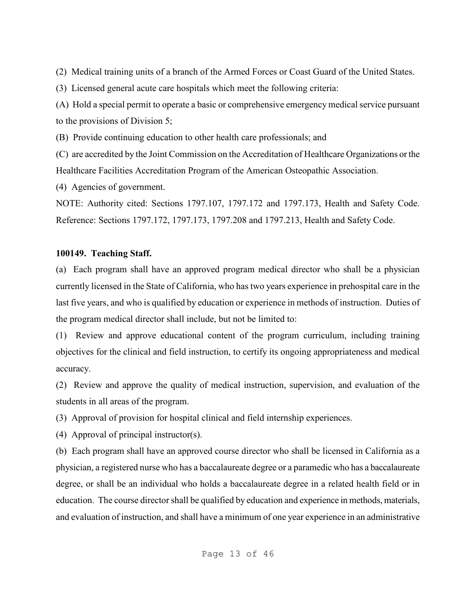(2) Medical training units of a branch of the Armed Forces or Coast Guard of the United States.

(3) Licensed general acute care hospitals which meet the following criteria:

(A) Hold a special permit to operate a basic or comprehensive emergency medical service pursuant to the provisions of Division 5;

(B) Provide continuing education to other health care professionals; and

(C) are accredited by the Joint Commission on the Accreditation of Healthcare Organizations or the Healthcare Facilities Accreditation Program of the American Osteopathic Association.

(4) Agencies of government.

NOTE: Authority cited: Sections 1797.107, 1797.172 and 1797.173, Health and Safety Code. Reference: Sections 1797.172, 1797.173, 1797.208 and 1797.213, Health and Safety Code.

# **100149. Teaching Staff.**

(a) Each program shall have an approved program medical director who shall be a physician currently licensed in the State of California, who has two years experience in prehospital care in the last five years, and who is qualified by education or experience in methods of instruction. Duties of the program medical director shall include, but not be limited to:

(1) Review and approve educational content of the program curriculum, including training objectives for the clinical and field instruction, to certify its ongoing appropriateness and medical accuracy.

(2) Review and approve the quality of medical instruction, supervision, and evaluation of the students in all areas of the program.

(3) Approval of provision for hospital clinical and field internship experiences.

(4) Approval of principal instructor(s).

(b) Each program shall have an approved course director who shall be licensed in California as a physician, a registered nurse who has a baccalaureate degree or a paramedic who has a baccalaureate degree, or shall be an individual who holds a baccalaureate degree in a related health field or in education. The course director shall be qualified by education and experience in methods, materials, and evaluation of instruction, and shall have a minimum of one year experience in an administrative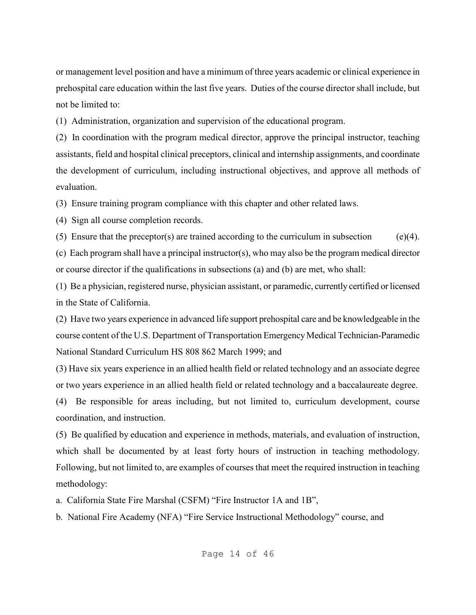or management level position and have a minimum of three years academic or clinical experience in prehospital care education within the last five years. Duties of the course director shall include, but not be limited to:

(1) Administration, organization and supervision of the educational program.

(2) In coordination with the program medical director, approve the principal instructor, teaching assistants, field and hospital clinical preceptors, clinical and internship assignments, and coordinate the development of curriculum, including instructional objectives, and approve all methods of evaluation.

(3) Ensure training program compliance with this chapter and other related laws.

(4) Sign all course completion records.

(5) Ensure that the preceptor(s) are trained according to the curriculum in subsection  $(e)(4)$ .

(c) Each program shall have a principal instructor(s), who may also be the program medical director or course director if the qualifications in subsections (a) and (b) are met, who shall:

(1) Be a physician, registered nurse, physician assistant, or paramedic, currently certified orlicensed in the State of California.

(2) Have two years experience in advanced life support prehospital care and be knowledgeable in the course content of the U.S. Department of Transportation Emergency Medical Technician-Paramedic National Standard Curriculum HS 808 862 March 1999; and

(3) Have six years experience in an allied health field or related technology and an associate degree or two years experience in an allied health field or related technology and a baccalaureate degree.

(4) Be responsible for areas including, but not limited to, curriculum development, course coordination, and instruction.

(5) Be qualified by education and experience in methods, materials, and evaluation of instruction, which shall be documented by at least forty hours of instruction in teaching methodology. Following, but not limited to, are examples of courses that meet the required instruction in teaching methodology:

a. California State Fire Marshal (CSFM) "Fire Instructor 1A and 1B",

b. National Fire Academy (NFA) "Fire Service Instructional Methodology" course, and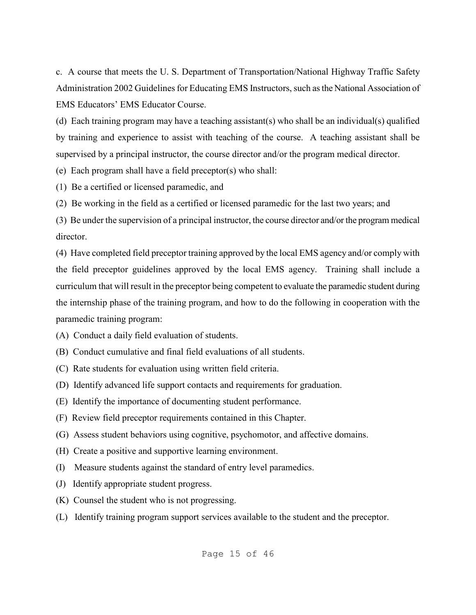c. A course that meets the U. S. Department of Transportation/National Highway Traffic Safety Administration 2002 Guidelines for Educating EMS Instructors, such as the National Association of EMS Educators' EMS Educator Course.

(d) Each training program may have a teaching assistant(s) who shall be an individual(s) qualified by training and experience to assist with teaching of the course. A teaching assistant shall be supervised by a principal instructor, the course director and/or the program medical director.

(e) Each program shall have a field preceptor(s) who shall:

(1) Be a certified or licensed paramedic, and

(2) Be working in the field as a certified or licensed paramedic for the last two years; and

(3) Be under the supervision of a principal instructor, the course director and/or the program medical director.

(4) Have completed field preceptor training approved by the local EMS agency and/or comply with the field preceptor guidelines approved by the local EMS agency. Training shall include a curriculum that will result in the preceptor being competent to evaluate the paramedic student during the internship phase of the training program, and how to do the following in cooperation with the paramedic training program:

- (A) Conduct a daily field evaluation of students.
- (B) Conduct cumulative and final field evaluations of all students.
- (C) Rate students for evaluation using written field criteria.
- (D) Identify advanced life support contacts and requirements for graduation.
- (E) Identify the importance of documenting student performance.
- (F) Review field preceptor requirements contained in this Chapter.
- (G) Assess student behaviors using cognitive, psychomotor, and affective domains.
- (H) Create a positive and supportive learning environment.
- (I) Measure students against the standard of entry level paramedics.
- (J) Identify appropriate student progress.
- (K) Counsel the student who is not progressing.
- (L) Identify training program support services available to the student and the preceptor.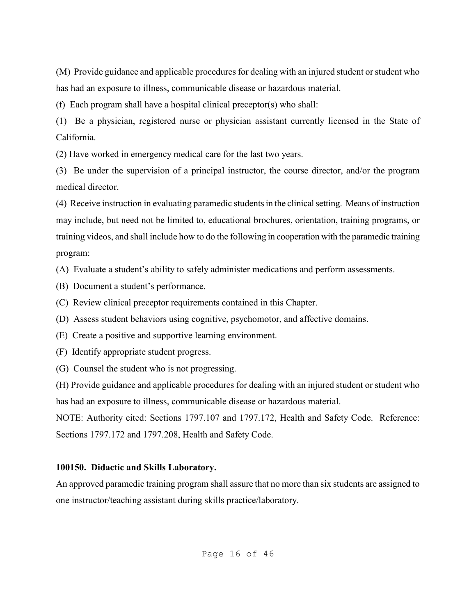(M) Provide guidance and applicable procedures for dealing with an injured student or student who has had an exposure to illness, communicable disease or hazardous material.

(f) Each program shall have a hospital clinical preceptor(s) who shall:

(1) Be a physician, registered nurse or physician assistant currently licensed in the State of California.

(2) Have worked in emergency medical care for the last two years.

(3) Be under the supervision of a principal instructor, the course director, and/or the program medical director.

(4) Receive instruction in evaluating paramedic students in the clinical setting. Means of instruction may include, but need not be limited to, educational brochures, orientation, training programs, or training videos, and shall include how to do the following in cooperation with the paramedic training program:

(A) Evaluate a student's ability to safely administer medications and perform assessments.

- (B) Document a student's performance.
- (C) Review clinical preceptor requirements contained in this Chapter.

(D) Assess student behaviors using cognitive, psychomotor, and affective domains.

- (E) Create a positive and supportive learning environment.
- (F) Identify appropriate student progress.
- (G) Counsel the student who is not progressing.

(H) Provide guidance and applicable procedures for dealing with an injured student or student who has had an exposure to illness, communicable disease or hazardous material.

NOTE: Authority cited: Sections 1797.107 and 1797.172, Health and Safety Code. Reference: Sections 1797.172 and 1797.208, Health and Safety Code.

# **100150. Didactic and Skills Laboratory.**

An approved paramedic training program shall assure that no more than six students are assigned to one instructor/teaching assistant during skills practice/laboratory.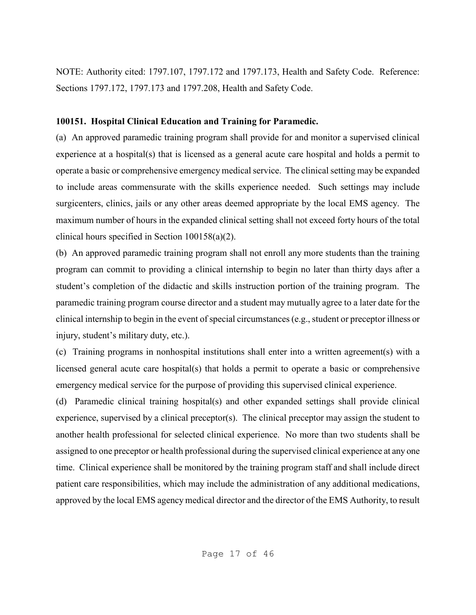NOTE: Authority cited: 1797.107, 1797.172 and 1797.173, Health and Safety Code. Reference: Sections 1797.172, 1797.173 and 1797.208, Health and Safety Code.

### **100151. Hospital Clinical Education and Training for Paramedic.**

(a) An approved paramedic training program shall provide for and monitor a supervised clinical experience at a hospital(s) that is licensed as a general acute care hospital and holds a permit to operate a basic or comprehensive emergency medical service. The clinical setting may be expanded to include areas commensurate with the skills experience needed. Such settings may include surgicenters, clinics, jails or any other areas deemed appropriate by the local EMS agency. The maximum number of hours in the expanded clinical setting shall not exceed forty hours of the total clinical hours specified in Section 100158(a)(2).

(b) An approved paramedic training program shall not enroll any more students than the training program can commit to providing a clinical internship to begin no later than thirty days after a student's completion of the didactic and skills instruction portion of the training program. The paramedic training program course director and a student may mutually agree to a later date for the clinical internship to begin in the event of special circumstances (e.g., student or preceptor illness or injury, student's military duty, etc.).

(c) Training programs in nonhospital institutions shall enter into a written agreement(s) with a licensed general acute care hospital(s) that holds a permit to operate a basic or comprehensive emergency medical service for the purpose of providing this supervised clinical experience.

(d) Paramedic clinical training hospital(s) and other expanded settings shall provide clinical experience, supervised by a clinical preceptor(s). The clinical preceptor may assign the student to another health professional for selected clinical experience. No more than two students shall be assigned to one preceptor or health professional during the supervised clinical experience at any one time. Clinical experience shall be monitored by the training program staff and shall include direct patient care responsibilities, which may include the administration of any additional medications, approved by the local EMS agency medical director and the director of the EMS Authority, to result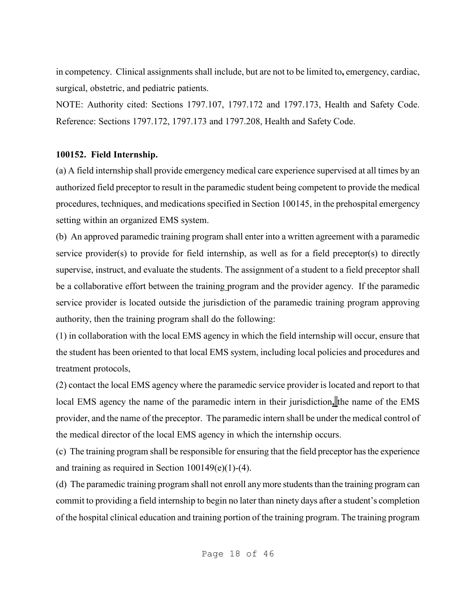in competency. Clinical assignments shall include, but are not to be limited to**,** emergency, cardiac, surgical, obstetric, and pediatric patients.

NOTE: Authority cited: Sections 1797.107, 1797.172 and 1797.173, Health and Safety Code. Reference: Sections 1797.172, 1797.173 and 1797.208, Health and Safety Code.

# **100152. Field Internship.**

(a) A field internship shall provide emergency medical care experience supervised at all times by an authorized field preceptor to result in the paramedic student being competent to provide the medical procedures, techniques, and medications specified in Section 100145, in the prehospital emergency setting within an organized EMS system.

(b) An approved paramedic training program shall enter into a written agreement with a paramedic service provider(s) to provide for field internship, as well as for a field preceptor(s) to directly supervise, instruct, and evaluate the students. The assignment of a student to a field preceptor shall be a collaborative effort between the training program and the provider agency. If the paramedic service provider is located outside the jurisdiction of the paramedic training program approving authority, then the training program shall do the following:

(1) in collaboration with the local EMS agency in which the field internship will occur, ensure that the student has been oriented to that local EMS system, including local policies and procedures and treatment protocols,

(2) contact the local EMS agency where the paramedic service provider is located and report to that local EMS agency the name of the paramedic intern in their jurisdiction**,** the name of the EMS provider, and the name of the preceptor. The paramedic intern shall be under the medical control of the medical director of the local EMS agency in which the internship occurs.

(c) The training program shall be responsible for ensuring that the field preceptor has the experience and training as required in Section  $100149(e)(1)$ -(4).

(d) The paramedic training program shall not enroll any more students than the training program can commit to providing a field internship to begin no later than ninety days after a student's completion of the hospital clinical education and training portion of the training program. The training program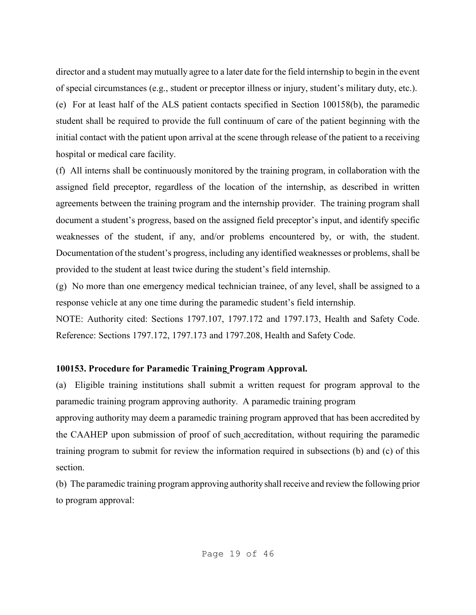director and a student may mutually agree to a later date for the field internship to begin in the event of special circumstances (e.g., student or preceptor illness or injury, student's military duty, etc.).

(e) For at least half of the ALS patient contacts specified in Section 100158(b), the paramedic student shall be required to provide the full continuum of care of the patient beginning with the initial contact with the patient upon arrival at the scene through release of the patient to a receiving hospital or medical care facility.

(f) All interns shall be continuously monitored by the training program, in collaboration with the assigned field preceptor, regardless of the location of the internship, as described in written agreements between the training program and the internship provider. The training program shall document a student's progress, based on the assigned field preceptor's input, and identify specific weaknesses of the student, if any, and/or problems encountered by, or with, the student. Documentation of the student's progress, including any identified weaknesses or problems, shall be provided to the student at least twice during the student's field internship.

(g)No more than one emergency medical technician trainee, of any level, shall be assigned to a response vehicle at any one time during the paramedic student's field internship.

NOTE: Authority cited: Sections 1797.107, 1797.172 and 1797.173, Health and Safety Code. Reference: Sections 1797.172, 1797.173 and 1797.208, Health and Safety Code.

#### **100153. Procedure for Paramedic Training Program Approval.**

(a) Eligible training institutions shall submit a written request for program approval to the paramedic training program approving authority. A paramedic training program

approving authority may deem a paramedic training program approved that has been accredited by the CAAHEP upon submission of proof of such accreditation, without requiring the paramedic training program to submit for review the information required in subsections (b) and (c) of this section.

(b) The paramedic training program approving authority shall receive and review the following prior to program approval: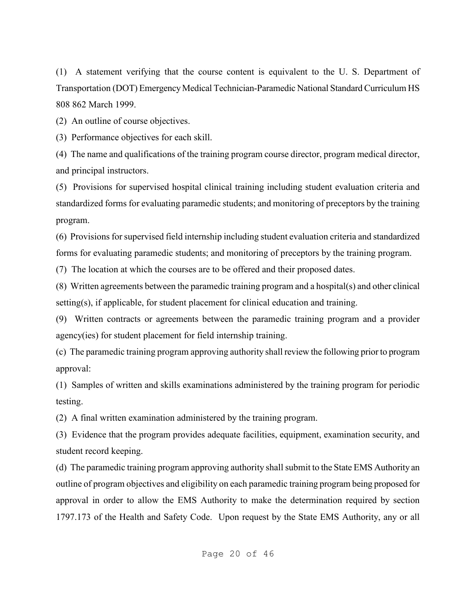(1) A statement verifying that the course content is equivalent to the U. S. Department of Transportation (DOT) Emergency Medical Technician-Paramedic National Standard Curriculum HS 808 862 March 1999.

(2) An outline of course objectives.

(3) Performance objectives for each skill.

(4) The name and qualifications of the training program course director, program medical director, and principal instructors.

(5) Provisions for supervised hospital clinical training including student evaluation criteria and standardized forms for evaluating paramedic students; and monitoring of preceptors by the training program.

(6) Provisions for supervised field internship including student evaluation criteria and standardized forms for evaluating paramedic students; and monitoring of preceptors by the training program.

(7) The location at which the courses are to be offered and their proposed dates.

(8) Written agreements between the paramedic training program and a hospital(s) and other clinical setting(s), if applicable, for student placement for clinical education and training.

(9) Written contracts or agreements between the paramedic training program and a provider agency(ies) for student placement for field internship training.

(c) The paramedic training program approving authority shall review the following prior to program approval:

(1) Samples of written and skills examinations administered by the training program for periodic testing.

(2) A final written examination administered by the training program.

(3) Evidence that the program provides adequate facilities, equipment, examination security, and student record keeping.

(d) The paramedic training program approving authority shall submit to the State EMS Authority an outline of program objectives and eligibility on each paramedic training program being proposed for approval in order to allow the EMS Authority to make the determination required by section 1797.173 of the Health and Safety Code. Upon request by the State EMS Authority, any or all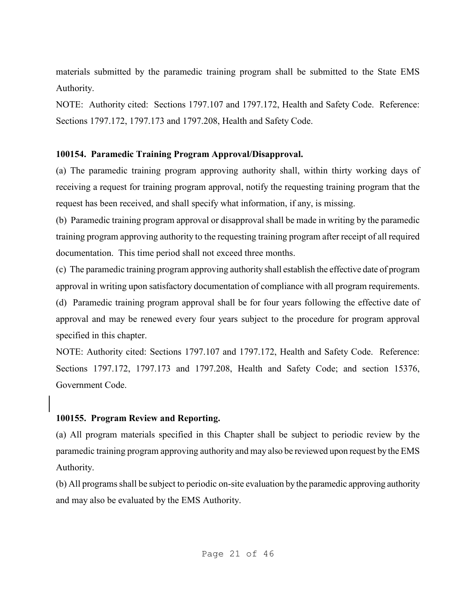materials submitted by the paramedic training program shall be submitted to the State EMS Authority.

NOTE: Authority cited: Sections 1797.107 and 1797.172, Health and Safety Code. Reference: Sections 1797.172, 1797.173 and 1797.208, Health and Safety Code.

### **100154. Paramedic Training Program Approval/Disapproval.**

(a) The paramedic training program approving authority shall, within thirty working days of receiving a request for training program approval, notify the requesting training program that the request has been received, and shall specify what information, if any, is missing.

(b) Paramedic training program approval or disapproval shall be made in writing by the paramedic training program approving authority to the requesting training program after receipt of all required documentation. This time period shall not exceed three months.

(c) The paramedic training program approving authority shall establish the effective date of program approval in writing upon satisfactory documentation of compliance with all program requirements.

(d) Paramedic training program approval shall be for four years following the effective date of approval and may be renewed every four years subject to the procedure for program approval specified in this chapter.

NOTE: Authority cited: Sections 1797.107 and 1797.172, Health and Safety Code. Reference: Sections 1797.172, 1797.173 and 1797.208, Health and Safety Code; and section 15376, Government Code.

# **100155. Program Review and Reporting.**

(a) All program materials specified in this Chapter shall be subject to periodic review by the paramedic training program approving authority and may also be reviewed upon request by the EMS Authority.

(b) All programs shall be subject to periodic on-site evaluation by the paramedic approving authority and may also be evaluated by the EMS Authority.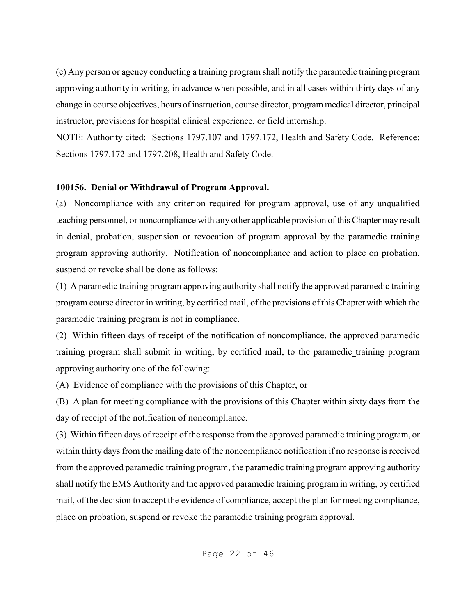(c) Any person or agency conducting a training program shall notify the paramedic training program approving authority in writing, in advance when possible, and in all cases within thirty days of any change in course objectives, hours of instruction, course director, program medical director, principal instructor, provisions for hospital clinical experience, or field internship.

NOTE: Authority cited: Sections 1797.107 and 1797.172, Health and Safety Code. Reference: Sections 1797.172 and 1797.208, Health and Safety Code.

### **100156. Denial or Withdrawal of Program Approval.**

(a) Noncompliance with any criterion required for program approval, use of any unqualified teaching personnel, or noncompliance with any other applicable provision of this Chapter may result in denial, probation, suspension or revocation of program approval by the paramedic training program approving authority. Notification of noncompliance and action to place on probation, suspend or revoke shall be done as follows:

(1) A paramedic training program approving authority shall notify the approved paramedic training program course director in writing, by certified mail, of the provisions of this Chapter with which the paramedic training program is not in compliance.

(2) Within fifteen days of receipt of the notification of noncompliance, the approved paramedic training program shall submit in writing, by certified mail, to the paramedic training program approving authority one of the following:

(A) Evidence of compliance with the provisions of this Chapter, or

(B) A plan for meeting compliance with the provisions of this Chapter within sixty days from the day of receipt of the notification of noncompliance.

(3) Within fifteen days of receipt of the response from the approved paramedic training program, or within thirty days from the mailing date of the noncompliance notification if no response is received from the approved paramedic training program, the paramedic training program approving authority shall notify the EMS Authority and the approved paramedic training program in writing, by certified mail, of the decision to accept the evidence of compliance, accept the plan for meeting compliance, place on probation, suspend or revoke the paramedic training program approval.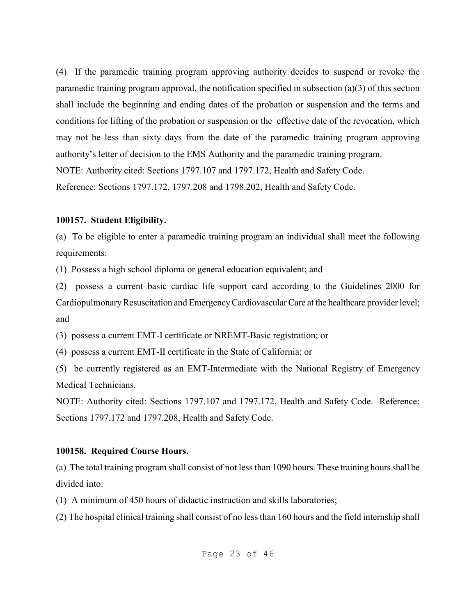(4) If the paramedic training program approving authority decides to suspend or revoke the paramedic training program approval, the notification specified in subsection (a)(3) of this section shall include the beginning and ending dates of the probation or suspension and the terms and conditions for lifting of the probation or suspension or the effective date of the revocation, which may not be less than sixty days from the date of the paramedic training program approving authority's letter of decision to the EMS Authority and the paramedic training program. NOTE: Authority cited: Sections 1797.107 and 1797.172, Health and Safety Code. Reference: Sections 1797.172, 1797.208 and 1798.202, Health and Safety Code.

#### **100157. Student Eligibility.**

(a) To be eligible to enter a paramedic training program an individual shall meet the following requirements:

(1) Possess a high school diploma or general education equivalent; and

(2) possess a current basic cardiac life support card according to the Guidelines 2000 for Cardiopulmonary Resuscitation and Emergency Cardiovascular Care at the healthcare provider level; and

(3) possess a current EMT-I certificate or NREMT-Basic registration; or

(4) possess a current EMT-II certificate in the State of California; or

(5) be currently registered as an EMT-Intermediate with the National Registry of Emergency Medical Technicians.

NOTE: Authority cited: Sections 1797.107 and 1797.172, Health and Safety Code. Reference: Sections 1797.172 and 1797.208, Health and Safety Code.

# **100158. Required Course Hours.**

(a) The total training program shall consist of not less than 1090 hours. These training hours shall be divided into:

(1) A minimum of 450 hours of didactic instruction and skills laboratories;

(2) The hospital clinical training shall consist of no less than 160 hours and the field internship shall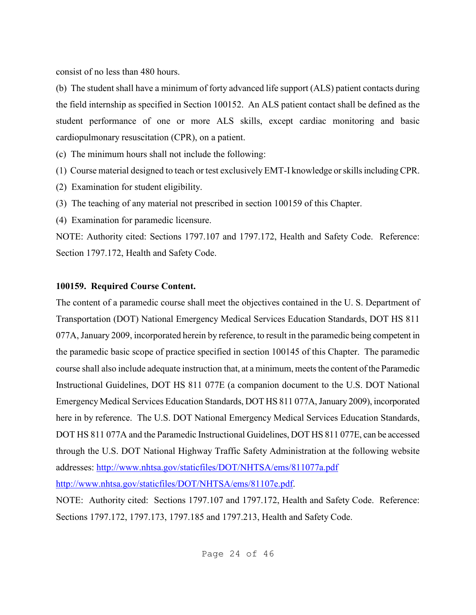consist of no less than 480 hours.

(b) The student shall have a minimum of forty advanced life support (ALS) patient contacts during the field internship as specified in Section 100152. An ALS patient contact shall be defined as the student performance of one or more ALS skills, except cardiac monitoring and basic cardiopulmonary resuscitation (CPR), on a patient.

(c) The minimum hours shall not include the following:

- (1) Course material designed to teach or test exclusively EMT-I knowledge or skills including CPR.
- (2) Examination for student eligibility.
- (3) The teaching of any material not prescribed in section 100159 of this Chapter.
- (4) Examination for paramedic licensure.

NOTE: Authority cited: Sections 1797.107 and 1797.172, Health and Safety Code. Reference: Section 1797.172, Health and Safety Code.

# **100159. Required Course Content.**

The content of a paramedic course shall meet the objectives contained in the U. S. Department of Transportation (DOT) National Emergency Medical Services Education Standards, DOT HS 811 077A, January 2009, incorporated herein by reference, to result in the paramedic being competent in the paramedic basic scope of practice specified in section 100145 of this Chapter. The paramedic course shall also include adequate instruction that, at a minimum, meets the content of the Paramedic Instructional Guidelines, DOT HS 811 077E (a companion document to the U.S. DOT National Emergency Medical Services Education Standards, DOT HS 811 077A, January 2009), incorporated here in by reference. The U.S. DOT National Emergency Medical Services Education Standards, DOT HS 811 077A and the Paramedic Instructional Guidelines, DOT HS 811 077E, can be accessed through the U.S. DOT National Highway Traffic Safety Administration at the following website addresses: http://www.nhtsa.gov/staticfiles/DOT/NHTSA/ems/811077a.pdf http://www.nhtsa.gov/staticfiles/DOT/NHTSA/ems/81107e.pdf.

NOTE: Authority cited: Sections 1797.107 and 1797.172, Health and Safety Code. Reference: Sections 1797.172, 1797.173, 1797.185 and 1797.213, Health and Safety Code.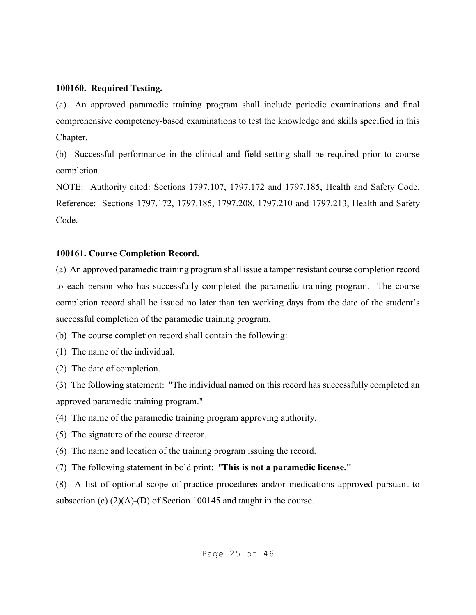#### **100160. Required Testing.**

(a) An approved paramedic training program shall include periodic examinations and final comprehensive competency-based examinations to test the knowledge and skills specified in this Chapter.

(b) Successful performance in the clinical and field setting shall be required prior to course completion.

NOTE: Authority cited: Sections 1797.107, 1797.172 and 1797.185, Health and Safety Code. Reference: Sections 1797.172, 1797.185, 1797.208, 1797.210 and 1797.213, Health and Safety Code.

### **100161. Course Completion Record.**

(a) An approved paramedic training program shall issue a tamper resistant course completion record to each person who has successfully completed the paramedic training program. The course completion record shall be issued no later than ten working days from the date of the student's successful completion of the paramedic training program.

(b) The course completion record shall contain the following:

(1) The name of the individual.

(2) The date of completion.

(3) The following statement: "The individual named on this record has successfully completed an approved paramedic training program."

(4) The name of the paramedic training program approving authority.

(5) The signature of the course director.

(6) The name and location of the training program issuing the record.

(7) The following statement in bold print: "**This is not a paramedic license."**

(8) A list of optional scope of practice procedures and/or medications approved pursuant to subsection (c) (2)(A)-(D) of Section 100145 and taught in the course.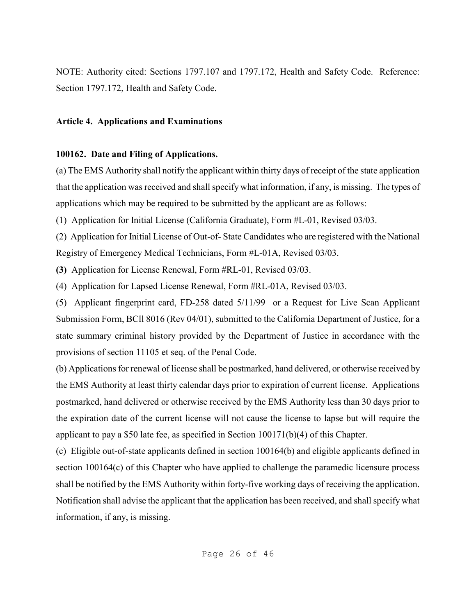NOTE: Authority cited: Sections 1797.107 and 1797.172, Health and Safety Code. Reference: Section 1797.172, Health and Safety Code.

#### **Article 4. Applications and Examinations**

### **100162. Date and Filing of Applications.**

(a) The EMS Authority shall notify the applicant within thirty days of receipt of the state application that the application was received and shall specify what information, if any, is missing. The types of applications which may be required to be submitted by the applicant are as follows:

(1) Application for Initial License (California Graduate), Form #L-01, Revised 03/03.

(2) Application for Initial License of Out-of- State Candidates who are registered with the National Registry of Emergency Medical Technicians, Form #L-01A, Revised 03/03.

**(3)** Application for License Renewal, Form #RL-01, Revised 03/03.

(4) Application for Lapsed License Renewal, Form #RL-01A, Revised 03/03.

(5) Applicant fingerprint card, FD-258 dated 5/11/99 or a Request for Live Scan Applicant Submission Form, BCll 8016 (Rev 04/01), submitted to the California Department of Justice, for a state summary criminal history provided by the Department of Justice in accordance with the provisions of section 11105 et seq. of the Penal Code.

(b) Applications for renewal of license shall be postmarked, hand delivered, or otherwise received by the EMS Authority at least thirty calendar days prior to expiration of current license. Applications postmarked, hand delivered or otherwise received by the EMS Authority less than 30 days prior to the expiration date of the current license will not cause the license to lapse but will require the applicant to pay a \$50 late fee, as specified in Section 100171(b)(4) of this Chapter.

(c) Eligible out-of-state applicants defined in section 100164(b) and eligible applicants defined in section 100164(c) of this Chapter who have applied to challenge the paramedic licensure process shall be notified by the EMS Authority within forty-five working days of receiving the application. Notification shall advise the applicant that the application has been received, and shall specify what information, if any, is missing.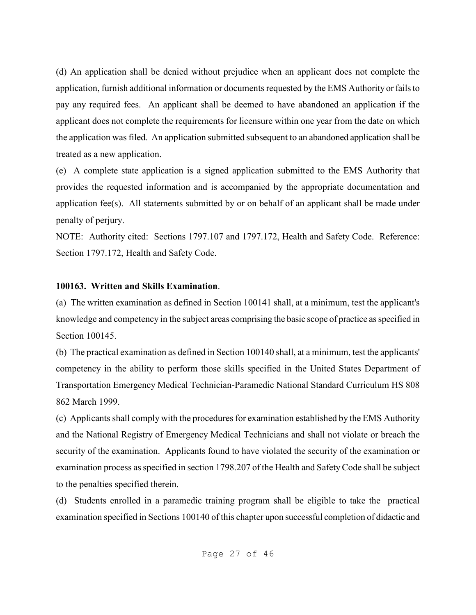(d) An application shall be denied without prejudice when an applicant does not complete the application, furnish additional information or documents requested by the EMS Authority or fails to pay any required fees. An applicant shall be deemed to have abandoned an application if the applicant does not complete the requirements for licensure within one year from the date on which the application was filed. An application submitted subsequent to an abandoned application shall be treated as a new application.

(e) A complete state application is a signed application submitted to the EMS Authority that provides the requested information and is accompanied by the appropriate documentation and application fee(s). All statements submitted by or on behalf of an applicant shall be made under penalty of perjury.

NOTE: Authority cited: Sections 1797.107 and 1797.172, Health and Safety Code. Reference: Section 1797.172, Health and Safety Code.

#### **100163. Written and Skills Examination**.

(a) The written examination as defined in Section 100141 shall, at a minimum, test the applicant's knowledge and competency in the subject areas comprising the basic scope of practice as specified in Section 100145.

(b) The practical examination as defined in Section 100140 shall, at a minimum, test the applicants' competency in the ability to perform those skills specified in the United States Department of Transportation Emergency Medical Technician-Paramedic National Standard Curriculum HS 808 862 March 1999.

(c) Applicants shall comply with the procedures for examination established by the EMS Authority and the National Registry of Emergency Medical Technicians and shall not violate or breach the security of the examination. Applicants found to have violated the security of the examination or examination process as specified in section 1798.207 of the Health and Safety Code shall be subject to the penalties specified therein.

(d) Students enrolled in a paramedic training program shall be eligible to take the practical examination specified in Sections 100140 of this chapter upon successful completion of didactic and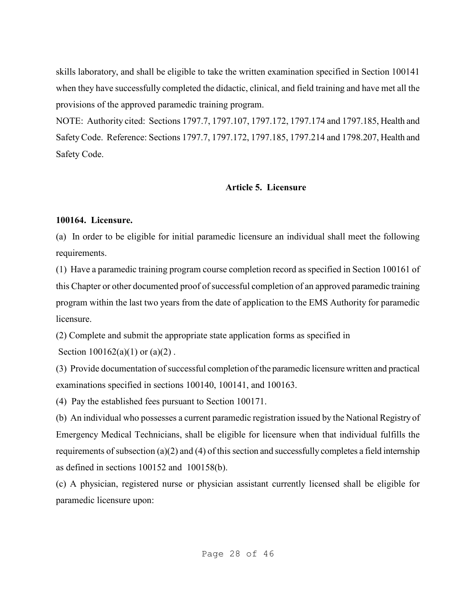skills laboratory, and shall be eligible to take the written examination specified in Section 100141 when they have successfully completed the didactic, clinical, and field training and have met all the provisions of the approved paramedic training program.

NOTE: Authority cited: Sections 1797.7, 1797.107, 1797.172, 1797.174 and 1797.185, Health and Safety Code. Reference: Sections 1797.7, 1797.172, 1797.185, 1797.214 and 1798.207, Health and Safety Code.

## **Article 5. Licensure**

#### **100164. Licensure.**

(a) In order to be eligible for initial paramedic licensure an individual shall meet the following requirements.

(1) Have a paramedic training program course completion record as specified in Section 100161 of this Chapter or other documented proof of successful completion of an approved paramedic training program within the last two years from the date of application to the EMS Authority for paramedic licensure.

(2) Complete and submit the appropriate state application forms as specified in

Section  $100162(a)(1)$  or  $(a)(2)$ .

(3) Provide documentation of successful completion of the paramedic licensure written and practical examinations specified in sections 100140, 100141, and 100163.

(4) Pay the established fees pursuant to Section 100171.

(b) An individual who possesses a current paramedic registration issued by the National Registry of Emergency Medical Technicians, shall be eligible for licensure when that individual fulfills the requirements of subsection (a)(2) and (4) of this section and successfully completes a field internship as defined in sections 100152 and 100158(b).

(c) A physician, registered nurse or physician assistant currently licensed shall be eligible for paramedic licensure upon: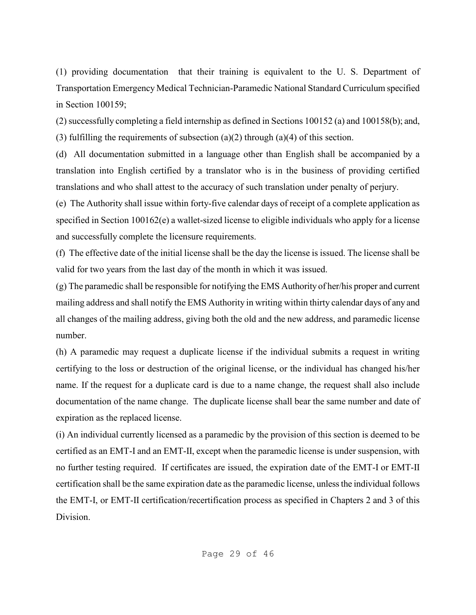(1) providing documentation that their training is equivalent to the U. S. Department of Transportation Emergency Medical Technician-Paramedic National Standard Curriculum specified in Section 100159;

(2) successfully completing a field internship as defined in Sections 100152 (a) and 100158(b); and, (3) fulfilling the requirements of subsection (a)(2) through (a)(4) of this section.

(d) All documentation submitted in a language other than English shall be accompanied by a translation into English certified by a translator who is in the business of providing certified translations and who shall attest to the accuracy of such translation under penalty of perjury.

(e) The Authority shall issue within forty-five calendar days of receipt of a complete application as specified in Section 100162(e) a wallet-sized license to eligible individuals who apply for a license and successfully complete the licensure requirements.

(f) The effective date of the initial license shall be the day the license is issued. The license shall be valid for two years from the last day of the month in which it was issued.

(g) The paramedic shall be responsible for notifying the EMS Authority of her/his proper and current mailing address and shall notify the EMS Authority in writing within thirty calendar days of any and all changes of the mailing address, giving both the old and the new address, and paramedic license number.

(h) A paramedic may request a duplicate license if the individual submits a request in writing certifying to the loss or destruction of the original license, or the individual has changed his/her name. If the request for a duplicate card is due to a name change, the request shall also include documentation of the name change. The duplicate license shall bear the same number and date of expiration as the replaced license.

(i) An individual currently licensed as a paramedic by the provision of this section is deemed to be certified as an EMT-I and an EMT-II, except when the paramedic license is under suspension, with no further testing required. If certificates are issued, the expiration date of the EMT-I or EMT-II certification shall be the same expiration date as the paramedic license, unless the individual follows the EMT-I, or EMT-II certification/recertification process as specified in Chapters 2 and 3 of this **Division**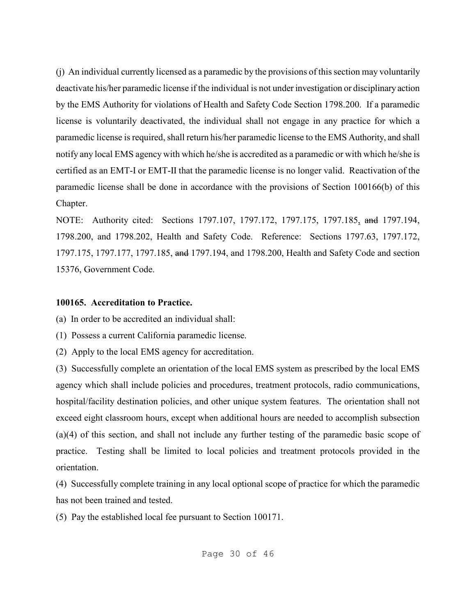(j) An individual currently licensed as a paramedic by the provisions of this section may voluntarily deactivate his/her paramedic license if the individual is not under investigation or disciplinary action by the EMS Authority for violations of Health and Safety Code Section 1798.200. If a paramedic license is voluntarily deactivated, the individual shall not engage in any practice for which a paramedic license is required, shall return his/her paramedic license to the EMS Authority, and shall notify any local EMS agency with which he/she is accredited as a paramedic or with which he/she is certified as an EMT-I or EMT-II that the paramedic license is no longer valid. Reactivation of the paramedic license shall be done in accordance with the provisions of Section 100166(b) of this Chapter.

NOTE: Authority cited: Sections 1797.107, 1797.172, 1797.175, 1797.185, and 1797.194, 1798.200, and 1798.202, Health and Safety Code. Reference: Sections 1797.63, 1797.172, 1797.175, 1797.177, 1797.185, and 1797.194, and 1798.200, Health and Safety Code and section 15376, Government Code.

#### **100165. Accreditation to Practice.**

(a) In order to be accredited an individual shall:

(1) Possess a current California paramedic license.

(2) Apply to the local EMS agency for accreditation.

(3) Successfully complete an orientation of the local EMS system as prescribed by the local EMS agency which shall include policies and procedures, treatment protocols, radio communications, hospital/facility destination policies, and other unique system features. The orientation shall not exceed eight classroom hours, except when additional hours are needed to accomplish subsection (a)(4) of this section, and shall not include any further testing of the paramedic basic scope of practice. Testing shall be limited to local policies and treatment protocols provided in the orientation.

(4) Successfully complete training in any local optional scope of practice for which the paramedic has not been trained and tested.

(5) Pay the established local fee pursuant to Section 100171.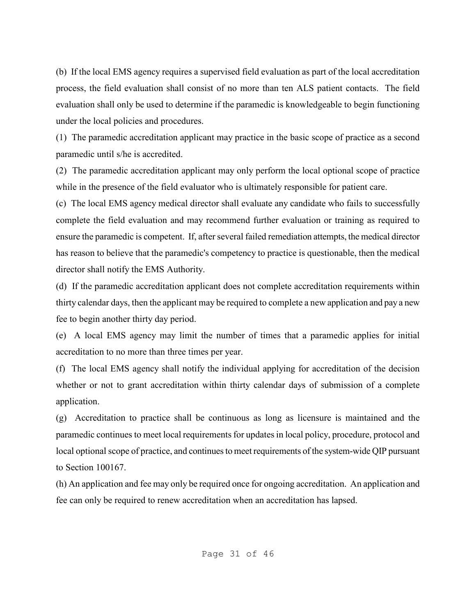(b) If the local EMS agency requires a supervised field evaluation as part of the local accreditation process, the field evaluation shall consist of no more than ten ALS patient contacts. The field evaluation shall only be used to determine if the paramedic is knowledgeable to begin functioning under the local policies and procedures.

(1) The paramedic accreditation applicant may practice in the basic scope of practice as a second paramedic until s/he is accredited.

(2) The paramedic accreditation applicant may only perform the local optional scope of practice while in the presence of the field evaluator who is ultimately responsible for patient care.

(c) The local EMS agency medical director shall evaluate any candidate who fails to successfully complete the field evaluation and may recommend further evaluation or training as required to ensure the paramedic is competent. If, after several failed remediation attempts, the medical director has reason to believe that the paramedic's competency to practice is questionable, then the medical director shall notify the EMS Authority.

(d) If the paramedic accreditation applicant does not complete accreditation requirements within thirty calendar days, then the applicant may be required to complete a new application and pay a new fee to begin another thirty day period.

(e) A local EMS agency may limit the number of times that a paramedic applies for initial accreditation to no more than three times per year.

(f) The local EMS agency shall notify the individual applying for accreditation of the decision whether or not to grant accreditation within thirty calendar days of submission of a complete application.

(g) Accreditation to practice shall be continuous as long as licensure is maintained and the paramedic continues to meet local requirements for updates in local policy, procedure, protocol and local optional scope of practice, and continues to meet requirements of the system-wide QIP pursuant to Section 100167.

(h) An application and fee may only be required once for ongoing accreditation. An application and fee can only be required to renew accreditation when an accreditation has lapsed.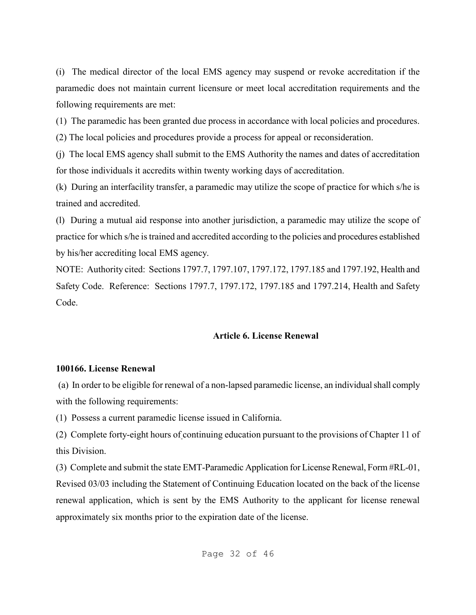(i) The medical director of the local EMS agency may suspend or revoke accreditation if the paramedic does not maintain current licensure or meet local accreditation requirements and the following requirements are met:

(1) The paramedic has been granted due process in accordance with local policies and procedures.

(2) The local policies and procedures provide a process for appeal or reconsideration.

(j) The local EMS agency shall submit to the EMS Authority the names and dates of accreditation for those individuals it accredits within twenty working days of accreditation.

(k) During an interfacility transfer, a paramedic may utilize the scope of practice for which s/he is trained and accredited.

(l) During a mutual aid response into another jurisdiction, a paramedic may utilize the scope of practice for which s/he is trained and accredited according to the policies and procedures established by his/her accrediting local EMS agency.

NOTE: Authority cited: Sections 1797.7, 1797.107, 1797.172, 1797.185 and 1797.192, Health and Safety Code. Reference: Sections 1797.7, 1797.172, 1797.185 and 1797.214, Health and Safety Code.

# **Article 6. License Renewal**

# **100166. License Renewal**

 (a) In order to be eligible for renewal of a non-lapsed paramedic license, an individual shall comply with the following requirements:

(1) Possess a current paramedic license issued in California.

(2) Complete forty-eight hours of continuing education pursuant to the provisions of Chapter 11 of this Division.

(3) Complete and submit the state EMT-Paramedic Application for License Renewal, Form #RL-01, Revised 03/03 including the Statement of Continuing Education located on the back of the license renewal application, which is sent by the EMS Authority to the applicant for license renewal approximately six months prior to the expiration date of the license.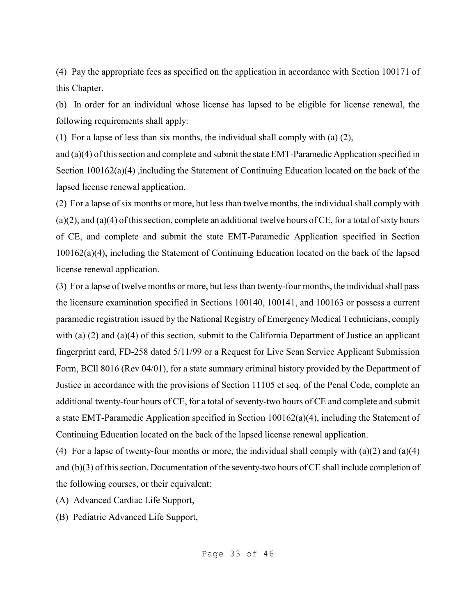(4) Pay the appropriate fees as specified on the application in accordance with Section 100171 of this Chapter.

(b) In order for an individual whose license has lapsed to be eligible for license renewal, the following requirements shall apply:

(1) For a lapse of less than six months, the individual shall comply with (a) (2),

and (a)(4) of this section and complete and submit the state EMT-Paramedic Application specified in Section 100162(a)(4) ,including the Statement of Continuing Education located on the back of the lapsed license renewal application.

(2) For a lapse of six months or more, but less than twelve months, the individual shall comply with (a)(2), and (a)(4) of this section, complete an additional twelve hours of CE, for a total of sixty hours of CE, and complete and submit the state EMT-Paramedic Application specified in Section 100162(a)(4), including the Statement of Continuing Education located on the back of the lapsed license renewal application.

(3) For a lapse of twelve months or more, but less than twenty-four months, the individual shall pass the licensure examination specified in Sections 100140, 100141, and 100163 or possess a current paramedic registration issued by the National Registry of Emergency Medical Technicians, comply with (a) (2) and (a)(4) of this section, submit to the California Department of Justice an applicant fingerprint card, FD-258 dated 5/11/99 or a Request for Live Scan Service Applicant Submission Form, BCll 8016 (Rev 04/01), for a state summary criminal history provided by the Department of Justice in accordance with the provisions of Section 11105 et seq. of the Penal Code, complete an additional twenty-four hours of CE, for a total of seventy-two hours of CE and complete and submit a state EMT-Paramedic Application specified in Section 100162(a)(4), including the Statement of Continuing Education located on the back of the lapsed license renewal application.

(4) For a lapse of twenty-four months or more, the individual shall comply with  $(a)(2)$  and  $(a)(4)$ and (b)(3) of this section. Documentation of the seventy-two hours of CE shall include completion of the following courses, or their equivalent:

(A) Advanced Cardiac Life Support,

(B) Pediatric Advanced Life Support,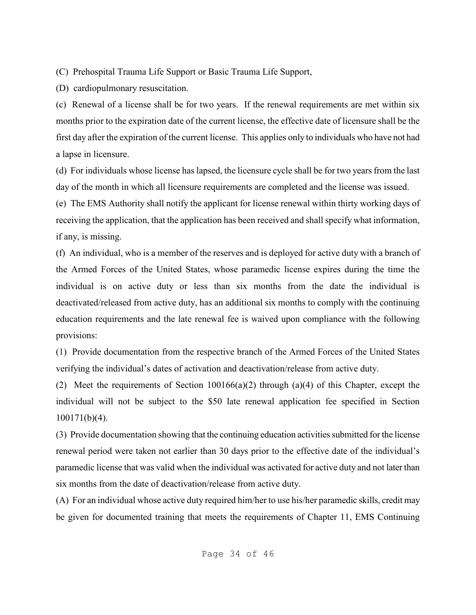(C) Prehospital Trauma Life Support or Basic Trauma Life Support,

(D) cardiopulmonary resuscitation.

(c) Renewal of a license shall be for two years. If the renewal requirements are met within six months prior to the expiration date of the current license, the effective date of licensure shall be the first day after the expiration of the current license. This applies only to individuals who have not had a lapse in licensure.

(d) For individuals whose license has lapsed, the licensure cycle shall be for two years from the last day of the month in which all licensure requirements are completed and the license was issued.

(e) The EMS Authority shall notify the applicant for license renewal within thirty working days of receiving the application, that the application has been received and shall specify what information, if any, is missing.

(f) An individual, who is a member of the reserves and is deployed for active duty with a branch of the Armed Forces of the United States, whose paramedic license expires during the time the individual is on active duty or less than six months from the date the individual is deactivated/released from active duty, has an additional six months to comply with the continuing education requirements and the late renewal fee is waived upon compliance with the following provisions:

(1) Provide documentation from the respective branch of the Armed Forces of the United States verifying the individual's dates of activation and deactivation/release from active duty.

(2) Meet the requirements of Section  $100166(a)(2)$  through  $(a)(4)$  of this Chapter, except the individual will not be subject to the \$50 late renewal application fee specified in Section 100171(b)(4).

(3) Provide documentation showing that the continuing education activities submitted for the license renewal period were taken not earlier than 30 days prior to the effective date of the individual's paramedic license that was valid when the individual was activated for active duty and not later than six months from the date of deactivation/release from active duty.

(A) For an individual whose active duty required him/her to use his/her paramedic skills, credit may be given for documented training that meets the requirements of Chapter 11, EMS Continuing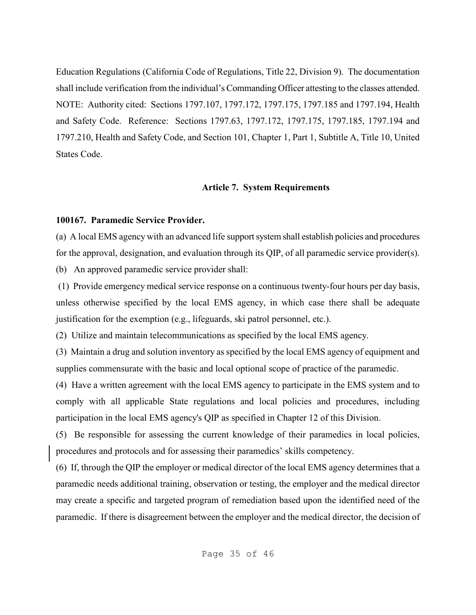Education Regulations (California Code of Regulations, Title 22, Division 9). The documentation shall include verification from the individual's Commanding Officer attesting to the classes attended. NOTE: Authority cited: Sections 1797.107, 1797.172, 1797.175, 1797.185 and 1797.194, Health and Safety Code. Reference: Sections 1797.63, 1797.172, 1797.175, 1797.185, 1797.194 and 1797.210, Health and Safety Code, and Section 101, Chapter 1, Part 1, Subtitle A, Title 10, United States Code.

### **Article 7. System Requirements**

### **100167. Paramedic Service Provider.**

(a) A local EMS agency with an advanced life support system shall establish policies and procedures for the approval, designation, and evaluation through its QIP, of all paramedic service provider(s).

(b) An approved paramedic service provider shall:

 (1) Provide emergency medical service response on a continuous twenty-four hours per day basis, unless otherwise specified by the local EMS agency, in which case there shall be adequate justification for the exemption (e.g., lifeguards, ski patrol personnel, etc.).

(2) Utilize and maintain telecommunications as specified by the local EMS agency.

(3) Maintain a drug and solution inventory as specified by the local EMS agency of equipment and supplies commensurate with the basic and local optional scope of practice of the paramedic.

(4) Have a written agreement with the local EMS agency to participate in the EMS system and to comply with all applicable State regulations and local policies and procedures, including participation in the local EMS agency's QIP as specified in Chapter 12 of this Division.

(5) Be responsible for assessing the current knowledge of their paramedics in local policies, procedures and protocols and for assessing their paramedics' skills competency.

(6) If, through the QIP the employer or medical director of the local EMS agency determines that a paramedic needs additional training, observation or testing, the employer and the medical director may create a specific and targeted program of remediation based upon the identified need of the paramedic. If there is disagreement between the employer and the medical director, the decision of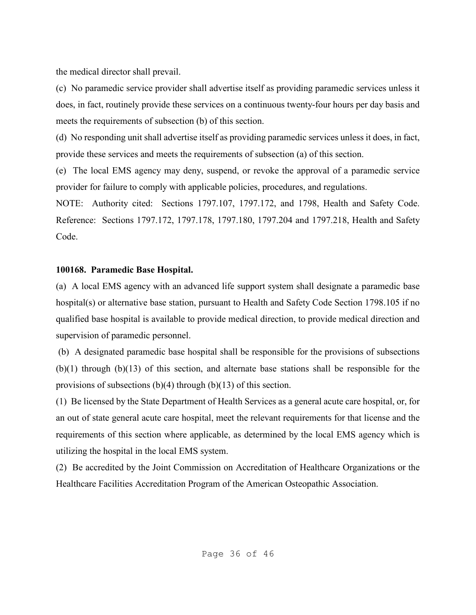the medical director shall prevail.

(c) No paramedic service provider shall advertise itself as providing paramedic services unless it does, in fact, routinely provide these services on a continuous twenty-four hours per day basis and meets the requirements of subsection (b) of this section.

(d) No responding unit shall advertise itself as providing paramedic services unless it does, in fact, provide these services and meets the requirements of subsection (a) of this section.

(e) The local EMS agency may deny, suspend, or revoke the approval of a paramedic service provider for failure to comply with applicable policies, procedures, and regulations.

NOTE: Authority cited: Sections 1797.107, 1797.172, and 1798, Health and Safety Code. Reference: Sections 1797.172, 1797.178, 1797.180, 1797.204 and 1797.218, Health and Safety Code.

## **100168. Paramedic Base Hospital.**

(a) A local EMS agency with an advanced life support system shall designate a paramedic base hospital(s) or alternative base station, pursuant to Health and Safety Code Section 1798.105 if no qualified base hospital is available to provide medical direction, to provide medical direction and supervision of paramedic personnel.

 (b) A designated paramedic base hospital shall be responsible for the provisions of subsections (b)(1) through (b)(13) of this section, and alternate base stations shall be responsible for the provisions of subsections (b)(4) through (b)(13) of this section.

(1) Be licensed by the State Department of Health Services as a general acute care hospital, or, for an out of state general acute care hospital, meet the relevant requirements for that license and the requirements of this section where applicable, as determined by the local EMS agency which is utilizing the hospital in the local EMS system.

(2) Be accredited by the Joint Commission on Accreditation of Healthcare Organizations or the Healthcare Facilities Accreditation Program of the American Osteopathic Association.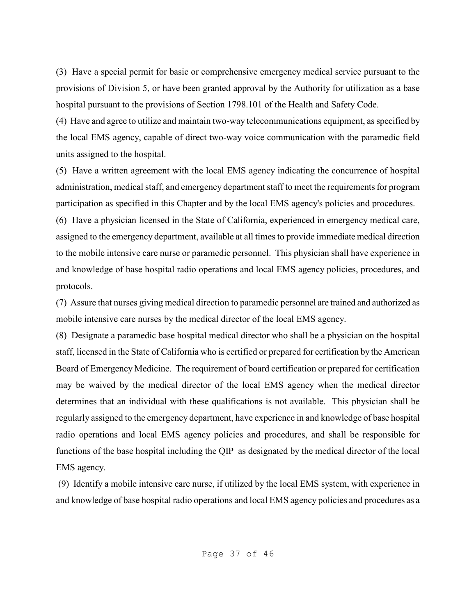(3) Have a special permit for basic or comprehensive emergency medical service pursuant to the provisions of Division 5, or have been granted approval by the Authority for utilization as a base hospital pursuant to the provisions of Section 1798.101 of the Health and Safety Code.

(4) Have and agree to utilize and maintain two-way telecommunications equipment, as specified by the local EMS agency, capable of direct two-way voice communication with the paramedic field units assigned to the hospital.

(5) Have a written agreement with the local EMS agency indicating the concurrence of hospital administration, medical staff, and emergency department staff to meet the requirements for program participation as specified in this Chapter and by the local EMS agency's policies and procedures.

(6) Have a physician licensed in the State of California, experienced in emergency medical care, assigned to the emergency department, available at all times to provide immediate medical direction to the mobile intensive care nurse or paramedic personnel. This physician shall have experience in and knowledge of base hospital radio operations and local EMS agency policies, procedures, and protocols.

(7) Assure that nurses giving medical direction to paramedic personnel are trained and authorized as mobile intensive care nurses by the medical director of the local EMS agency.

(8) Designate a paramedic base hospital medical director who shall be a physician on the hospital staff, licensed in the State of California who is certified or prepared for certification by the American Board of Emergency Medicine. The requirement of board certification or prepared for certification may be waived by the medical director of the local EMS agency when the medical director determines that an individual with these qualifications is not available. This physician shall be regularly assigned to the emergency department, have experience in and knowledge of base hospital radio operations and local EMS agency policies and procedures, and shall be responsible for functions of the base hospital including the QIP as designated by the medical director of the local EMS agency.

 (9) Identify a mobile intensive care nurse, if utilized by the local EMS system, with experience in and knowledge of base hospital radio operations and local EMS agency policies and procedures as a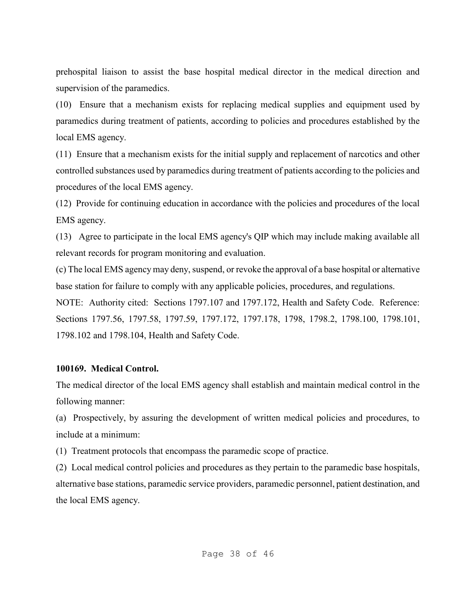prehospital liaison to assist the base hospital medical director in the medical direction and supervision of the paramedics.

(10) Ensure that a mechanism exists for replacing medical supplies and equipment used by paramedics during treatment of patients, according to policies and procedures established by the local EMS agency.

(11) Ensure that a mechanism exists for the initial supply and replacement of narcotics and other controlled substances used by paramedics during treatment of patients according to the policies and procedures of the local EMS agency.

(12) Provide for continuing education in accordance with the policies and procedures of the local EMS agency.

(13) Agree to participate in the local EMS agency's QIP which may include making available all relevant records for program monitoring and evaluation.

(c) The local EMS agency may deny, suspend, or revoke the approval of a base hospital or alternative base station for failure to comply with any applicable policies, procedures, and regulations.

NOTE: Authority cited: Sections 1797.107 and 1797.172, Health and Safety Code. Reference: Sections 1797.56, 1797.58, 1797.59, 1797.172, 1797.178, 1798, 1798.2, 1798.100, 1798.101, 1798.102 and 1798.104, Health and Safety Code.

#### **100169. Medical Control.**

The medical director of the local EMS agency shall establish and maintain medical control in the following manner:

(a) Prospectively, by assuring the development of written medical policies and procedures, to include at a minimum:

(1) Treatment protocols that encompass the paramedic scope of practice.

(2) Local medical control policies and procedures as they pertain to the paramedic base hospitals, alternative base stations, paramedic service providers, paramedic personnel, patient destination, and the local EMS agency.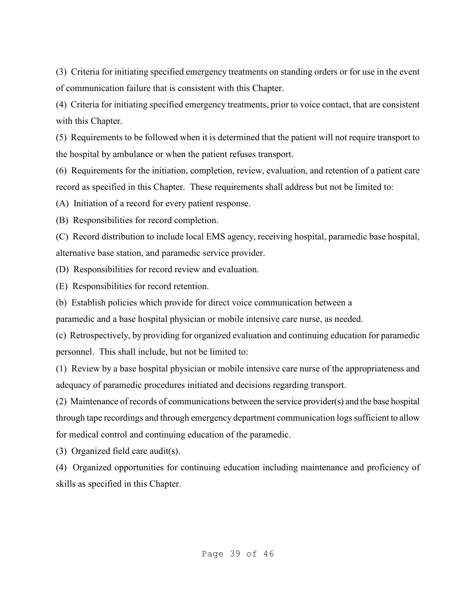(3) Criteria for initiating specified emergency treatments on standing orders or for use in the event of communication failure that is consistent with this Chapter.

(4) Criteria for initiating specified emergency treatments, prior to voice contact, that are consistent with this Chapter.

(5) Requirements to be followed when it is determined that the patient will not require transport to the hospital by ambulance or when the patient refuses transport.

(6) Requirements for the initiation, completion, review, evaluation, and retention of a patient care record as specified in this Chapter. These requirements shall address but not be limited to:

(A) Initiation of a record for every patient response.

(B) Responsibilities for record completion.

(C) Record distribution to include local EMS agency, receiving hospital, paramedic base hospital, alternative base station, and paramedic service provider.

(D) Responsibilities for record review and evaluation.

(E) Responsibilities for record retention.

(b) Establish policies which provide for direct voice communication between a

paramedic and a base hospital physician or mobile intensive care nurse, as needed.

(c) Retrospectively, by providing for organized evaluation and continuing education for paramedic personnel. This shall include, but not be limited to:

(1) Review by a base hospital physician or mobile intensive care nurse of the appropriateness and adequacy of paramedic procedures initiated and decisions regarding transport.

(2) Maintenance of records of communications between the service provider(s) and the base hospital through tape recordings and through emergency department communication logs sufficient to allow for medical control and continuing education of the paramedic.

(3) Organized field care audit(s).

(4) Organized opportunities for continuing education including maintenance and proficiency of skills as specified in this Chapter.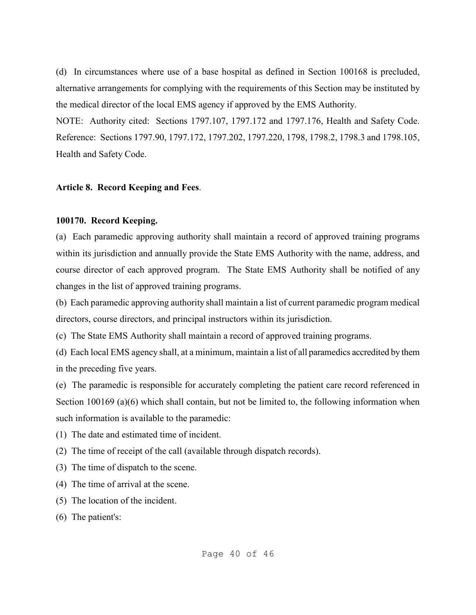(d) In circumstances where use of a base hospital as defined in Section 100168 is precluded, alternative arrangements for complying with the requirements of this Section may be instituted by the medical director of the local EMS agency if approved by the EMS Authority.

NOTE: Authority cited: Sections 1797.107, 1797.172 and 1797.176, Health and Safety Code. Reference: Sections 1797.90, 1797.172, 1797.202, 1797.220, 1798, 1798.2, 1798.3 and 1798.105, Health and Safety Code.

### **Article 8. Record Keeping and Fees**.

### **100170. Record Keeping.**

(a) Each paramedic approving authority shall maintain a record of approved training programs within its jurisdiction and annually provide the State EMS Authority with the name, address, and course director of each approved program. The State EMS Authority shall be notified of any changes in the list of approved training programs.

(b) Each paramedic approving authority shall maintain a list of current paramedic program medical directors, course directors, and principal instructors within its jurisdiction.

(c) The State EMS Authority shall maintain a record of approved training programs.

(d) Each local EMS agency shall, at a minimum, maintain a list of all paramedics accredited by them in the preceding five years.

(e) The paramedic is responsible for accurately completing the patient care record referenced in Section 100169 (a)(6) which shall contain, but not be limited to, the following information when such information is available to the paramedic:

(1) The date and estimated time of incident.

(2) The time of receipt of the call (available through dispatch records).

- (3) The time of dispatch to the scene.
- (4) The time of arrival at the scene.
- (5) The location of the incident.

(6) The patient's: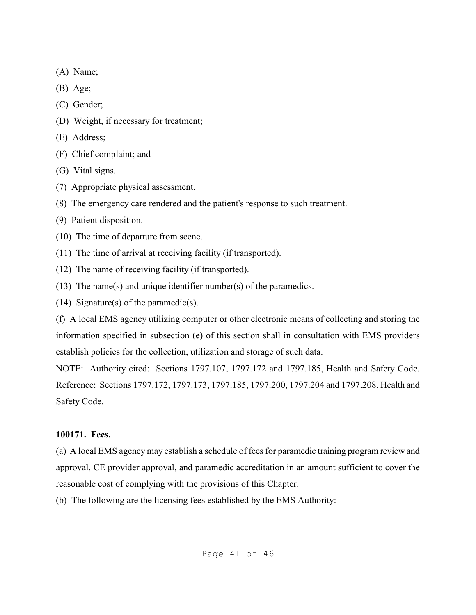- (A) Name;
- (B) Age;
- (C) Gender;
- (D) Weight, if necessary for treatment;
- (E) Address;
- (F) Chief complaint; and
- (G) Vital signs.
- (7) Appropriate physical assessment.
- (8) The emergency care rendered and the patient's response to such treatment.
- (9) Patient disposition.
- (10) The time of departure from scene.
- (11) The time of arrival at receiving facility (if transported).
- (12) The name of receiving facility (if transported).
- (13) The name(s) and unique identifier number(s) of the paramedics.
- (14) Signature(s) of the paramedic(s).

(f) A local EMS agency utilizing computer or other electronic means of collecting and storing the information specified in subsection (e) of this section shall in consultation with EMS providers establish policies for the collection, utilization and storage of such data.

NOTE: Authority cited: Sections 1797.107, 1797.172 and 1797.185, Health and Safety Code. Reference: Sections 1797.172, 1797.173, 1797.185, 1797.200, 1797.204 and 1797.208, Health and Safety Code.

# **100171. Fees.**

(a) A local EMS agency may establish a schedule of fees for paramedic training program review and approval, CE provider approval, and paramedic accreditation in an amount sufficient to cover the reasonable cost of complying with the provisions of this Chapter.

(b) The following are the licensing fees established by the EMS Authority: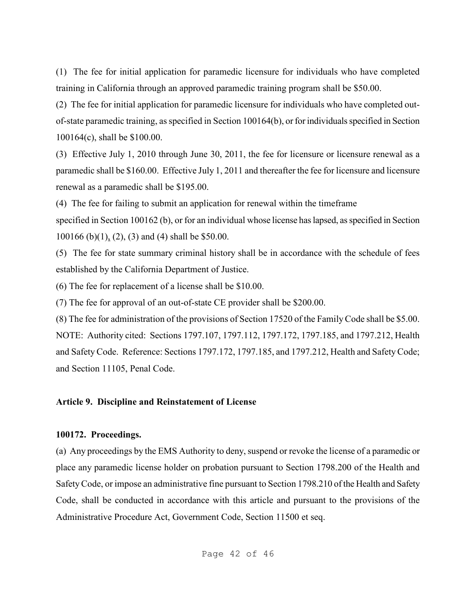(1) The fee for initial application for paramedic licensure for individuals who have completed training in California through an approved paramedic training program shall be \$50.00.

(2) The fee for initial application for paramedic licensure for individuals who have completed outof-state paramedic training, as specified in Section 100164(b), or for individuals specified in Section 100164(c), shall be \$100.00.

(3) Effective July 1, 2010 through June 30, 2011, the fee for licensure or licensure renewal as a paramedic shall be \$160.00. Effective July 1, 2011 and thereafter the fee for licensure and licensure renewal as a paramedic shall be \$195.00.

(4) The fee for failing to submit an application for renewal within the timeframe

specified in Section 100162 (b), or for an individual whose license has lapsed, as specified in Section 100166 (b)(1), (2), (3) and (4) shall be \$50.00.

(5) The fee for state summary criminal history shall be in accordance with the schedule of fees established by the California Department of Justice.

(6) The fee for replacement of a license shall be \$10.00.

(7) The fee for approval of an out-of-state CE provider shall be \$200.00.

(8) The fee for administration of the provisions of Section 17520 of the Family Code shall be \$5.00. NOTE: Authority cited: Sections 1797.107, 1797.112, 1797.172, 1797.185, and 1797.212, Health and Safety Code. Reference: Sections 1797.172, 1797.185, and 1797.212, Health and Safety Code; and Section 11105, Penal Code.

## **Article 9. Discipline and Reinstatement of License**

#### **100172. Proceedings.**

(a) Any proceedings by the EMS Authority to deny, suspend or revoke the license of a paramedic or place any paramedic license holder on probation pursuant to Section 1798.200 of the Health and Safety Code, or impose an administrative fine pursuant to Section 1798.210 of the Health and Safety Code, shall be conducted in accordance with this article and pursuant to the provisions of the Administrative Procedure Act, Government Code, Section 11500 et seq.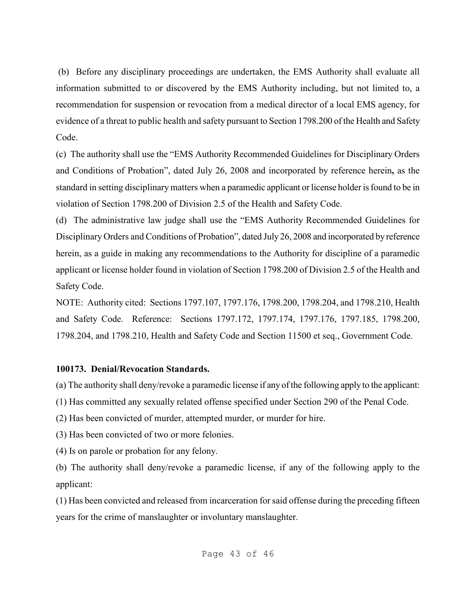(b) Before any disciplinary proceedings are undertaken, the EMS Authority shall evaluate all information submitted to or discovered by the EMS Authority including, but not limited to, a recommendation for suspension or revocation from a medical director of a local EMS agency, for evidence of a threat to public health and safety pursuant to Section 1798.200 of the Health and Safety Code.

(c) The authority shall use the "EMS Authority Recommended Guidelines for Disciplinary Orders and Conditions of Probation", dated July 26, 2008 and incorporated by reference herein**,** as the standard in setting disciplinary matters when a paramedic applicant or license holder is found to be in violation of Section 1798.200 of Division 2.5 of the Health and Safety Code.

(d) The administrative law judge shall use the "EMS Authority Recommended Guidelines for Disciplinary Orders and Conditions of Probation", dated July 26, 2008 and incorporated by reference herein, as a guide in making any recommendations to the Authority for discipline of a paramedic applicant or license holder found in violation of Section 1798.200 of Division 2.5 of the Health and Safety Code.

NOTE: Authority cited: Sections 1797.107, 1797.176, 1798.200, 1798.204, and 1798.210, Health and Safety Code. Reference: Sections 1797.172, 1797.174, 1797.176, 1797.185, 1798.200, 1798.204, and 1798.210, Health and Safety Code and Section 11500 et seq., Government Code.

#### **100173. Denial/Revocation Standards.**

(a) The authority shall deny/revoke a paramedic license if any of the following apply to the applicant:

(1) Has committed any sexually related offense specified under Section 290 of the Penal Code.

(2) Has been convicted of murder, attempted murder, or murder for hire.

(3) Has been convicted of two or more felonies.

(4) Is on parole or probation for any felony.

(b) The authority shall deny/revoke a paramedic license, if any of the following apply to the applicant:

(1) Has been convicted and released from incarceration for said offense during the preceding fifteen years for the crime of manslaughter or involuntary manslaughter.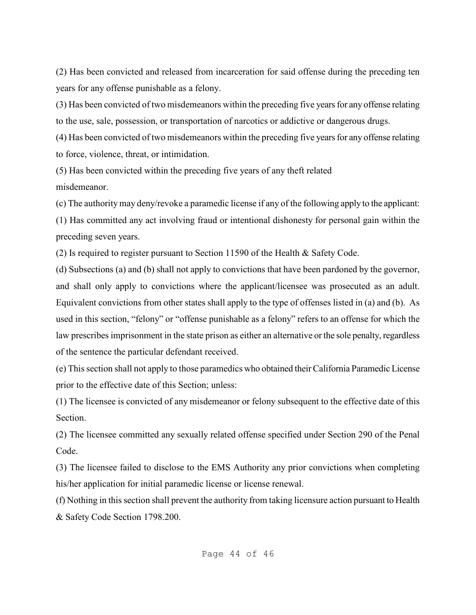(2) Has been convicted and released from incarceration for said offense during the preceding ten years for any offense punishable as a felony.

(3) Has been convicted of two misdemeanors within the preceding five years for any offense relating to the use, sale, possession, or transportation of narcotics or addictive or dangerous drugs.

(4) Has been convicted of two misdemeanors within the preceding five years for any offense relating to force, violence, threat, or intimidation.

(5) Has been convicted within the preceding five years of any theft related misdemeanor.

(c) The authority may deny/revoke a paramedic license if any of the following apply to the applicant:

(1) Has committed any act involving fraud or intentional dishonesty for personal gain within the preceding seven years.

(2) Is required to register pursuant to Section 11590 of the Health & Safety Code.

(d) Subsections (a) and (b) shall not apply to convictions that have been pardoned by the governor, and shall only apply to convictions where the applicant/licensee was prosecuted as an adult. Equivalent convictions from other states shall apply to the type of offenses listed in (a) and (b). As used in this section, "felony" or "offense punishable as a felony" refers to an offense for which the law prescribes imprisonment in the state prison as either an alternative or the sole penalty, regardless of the sentence the particular defendant received.

(e) This section shall not apply to those paramedics who obtained their California Paramedic License prior to the effective date of this Section; unless:

(1) The licensee is convicted of any misdemeanor or felony subsequent to the effective date of this Section.

(2) The licensee committed any sexually related offense specified under Section 290 of the Penal Code.

(3) The licensee failed to disclose to the EMS Authority any prior convictions when completing his/her application for initial paramedic license or license renewal.

(f) Nothing in this section shall prevent the authority from taking licensure action pursuant to Health & Safety Code Section 1798.200.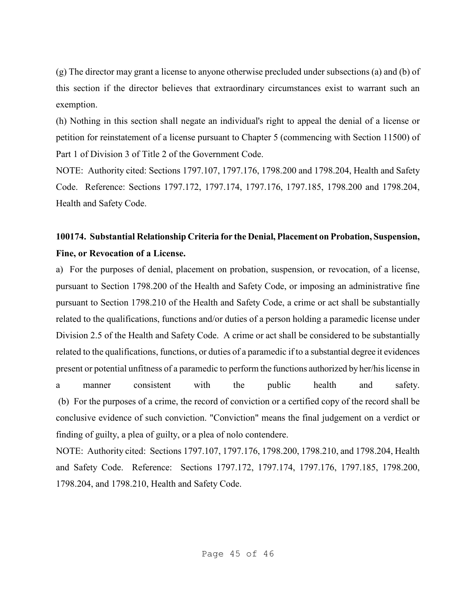(g) The director may grant a license to anyone otherwise precluded under subsections (a) and (b) of this section if the director believes that extraordinary circumstances exist to warrant such an exemption.

(h) Nothing in this section shall negate an individual's right to appeal the denial of a license or petition for reinstatement of a license pursuant to Chapter 5 (commencing with Section 11500) of Part 1 of Division 3 of Title 2 of the Government Code.

NOTE: Authority cited: Sections 1797.107, 1797.176, 1798.200 and 1798.204, Health and Safety Code. Reference: Sections 1797.172, 1797.174, 1797.176, 1797.185, 1798.200 and 1798.204, Health and Safety Code.

# **100174. Substantial Relationship Criteria for the Denial, Placement on Probation, Suspension, Fine, or Revocation of a License.**

a) For the purposes of denial, placement on probation, suspension, or revocation, of a license, pursuant to Section 1798.200 of the Health and Safety Code, or imposing an administrative fine pursuant to Section 1798.210 of the Health and Safety Code, a crime or act shall be substantially related to the qualifications, functions and/or duties of a person holding a paramedic license under Division 2.5 of the Health and Safety Code. A crime or act shall be considered to be substantially related to the qualifications, functions, or duties of a paramedic if to a substantial degree it evidences present or potential unfitness of a paramedic to perform the functions authorized by her/his license in a manner consistent with the public health and safety. (b) For the purposes of a crime, the record of conviction or a certified copy of the record shall be conclusive evidence of such conviction. "Conviction" means the final judgement on a verdict or finding of guilty, a plea of guilty, or a plea of nolo contendere.

NOTE: Authority cited: Sections 1797.107, 1797.176, 1798.200, 1798.210, and 1798.204, Health and Safety Code. Reference: Sections 1797.172, 1797.174, 1797.176, 1797.185, 1798.200, 1798.204, and 1798.210, Health and Safety Code.